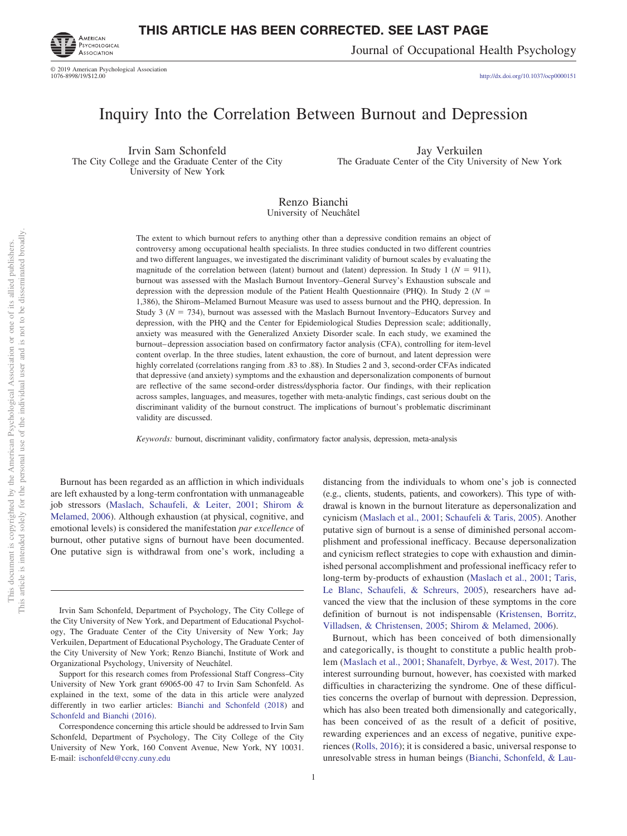

© 2019 American Psychological Association 1076-8998/19/\$12.00

# **THIS ARTICLE HAS BEEN CORRECTED. SEE LAST PAGE**

Journal of Occupational Health Psychology

http://dx.doi.org[/10.1037/ocp0000151](http://dx.doi.org/10.1037/ocp0000151)

# Inquiry Into the Correlation Between Burnout and Depression

Irvin Sam Schonfeld The City College and the Graduate Center of the City University of New York

Jay Verkuilen The Graduate Center of the City University of New York

Renzo Bianchi University of Neuchâtel

The extent to which burnout refers to anything other than a depressive condition remains an object of controversy among occupational health specialists. In three studies conducted in two different countries and two different languages, we investigated the discriminant validity of burnout scales by evaluating the magnitude of the correlation between (latent) burnout and (latent) depression. In Study 1 ( $N = 911$ ), burnout was assessed with the Maslach Burnout Inventory–General Survey's Exhaustion subscale and depression with the depression module of the Patient Health Questionnaire (PHQ). In Study 2 ( $N =$ 1,386), the Shirom–Melamed Burnout Measure was used to assess burnout and the PHQ, depression. In Study 3 ( $N = 734$ ), burnout was assessed with the Maslach Burnout Inventory–Educators Survey and depression, with the PHQ and the Center for Epidemiological Studies Depression scale; additionally, anxiety was measured with the Generalized Anxiety Disorder scale. In each study, we examined the burnout– depression association based on confirmatory factor analysis (CFA), controlling for item-level content overlap. In the three studies, latent exhaustion, the core of burnout, and latent depression were highly correlated (correlations ranging from .83 to .88). In Studies 2 and 3, second-order CFAs indicated that depressive (and anxiety) symptoms and the exhaustion and depersonalization components of burnout are reflective of the same second-order distress/dysphoria factor. Our findings, with their replication across samples, languages, and measures, together with meta-analytic findings, cast serious doubt on the discriminant validity of the burnout construct. The implications of burnout's problematic discriminant validity are discussed.

*Keywords:* burnout, discriminant validity, confirmatory factor analysis, depression, meta-analysis

Burnout has been regarded as an affliction in which individuals are left exhausted by a long-term confrontation with unmanageable job stressors [\(Maslach, Schaufeli, & Leiter, 2001;](#page-12-3) [Shirom &](#page-13-2) [Melamed, 2006\)](#page-13-2). Although exhaustion (at physical, cognitive, and emotional levels) is considered the manifestation *par excellence* of burnout, other putative signs of burnout have been documented. One putative sign is withdrawal from one's work, including a

not to be disseminated broadly one of its allied publishers.

 $\overleftarrow{\mathrm{O}}$  $\widetilde{\Xi}$ 

> distancing from the individuals to whom one's job is connected (e.g., clients, students, patients, and coworkers). This type of withdrawal is known in the burnout literature as depersonalization and cynicism [\(Maslach et al., 2001;](#page-12-3) [Schaufeli & Taris, 2005\)](#page-12-2). Another putative sign of burnout is a sense of diminished personal accomplishment and professional inefficacy. Because depersonalization and cynicism reflect strategies to cope with exhaustion and diminished personal accomplishment and professional inefficacy refer to long-term by-products of exhaustion [\(Maslach et al., 2001;](#page-12-3) [Taris,](#page-13-1) [Le Blanc, Schaufeli, & Schreurs, 2005\)](#page-13-1), researchers have advanced the view that the inclusion of these symptoms in the core definition of burnout is not indispensable [\(Kristensen, Borritz,](#page-12-0) [Villadsen, & Christensen, 2005;](#page-12-0) [Shirom & Melamed, 2006\)](#page-13-2).

> Burnout, which has been conceived of both dimensionally and categorically, is thought to constitute a public health problem [\(Maslach et](#page-12-3) al., 2001; [Shanafelt, Dyrbye, & West, 2017\)](#page-13-3). The interest surrounding burnout, however, has coexisted with marked difficulties in characterizing the syndrome. One of these difficulties concerns the overlap of burnout with depression. Depression, which has also been treated both dimensionally and categorically, has been conceived of as the result of a deficit of positive, rewarding experiences and an excess of negative, punitive experiences [\(Rolls, 2016\)](#page-12-1); it is considered a basic, universal response to unresolvable stress in human beings [\(Bianchi, Schonfeld, & Lau-](#page-11-1)

Irvin Sam Schonfeld, Department of Psychology, The City College of the City University of New York, and Department of Educational Psychology, The Graduate Center of the City University of New York; Jay Verkuilen, Department of Educational Psychology, The Graduate Center of the City University of New York; Renzo Bianchi, Institute of Work and Organizational Psychology, University of Neuchâtel.

Support for this research comes from Professional Staff Congress–City University of New York grant 69065-00 47 to Irvin Sam Schonfeld. As explained in the text, some of the data in this article were analyzed differently in two earlier articles: [Bianchi and Schonfeld \(2018\)](#page-11-0) and [Schonfeld and Bianchi \(2016\).](#page-13-0)

Correspondence concerning this article should be addressed to Irvin Sam Schonfeld, Department of Psychology, The City College of the City University of New York, 160 Convent Avenue, New York, NY 10031. E-mail: [ischonfeld@ccny.cuny.edu](mailto:ischonfeld@ccny.cuny.edu)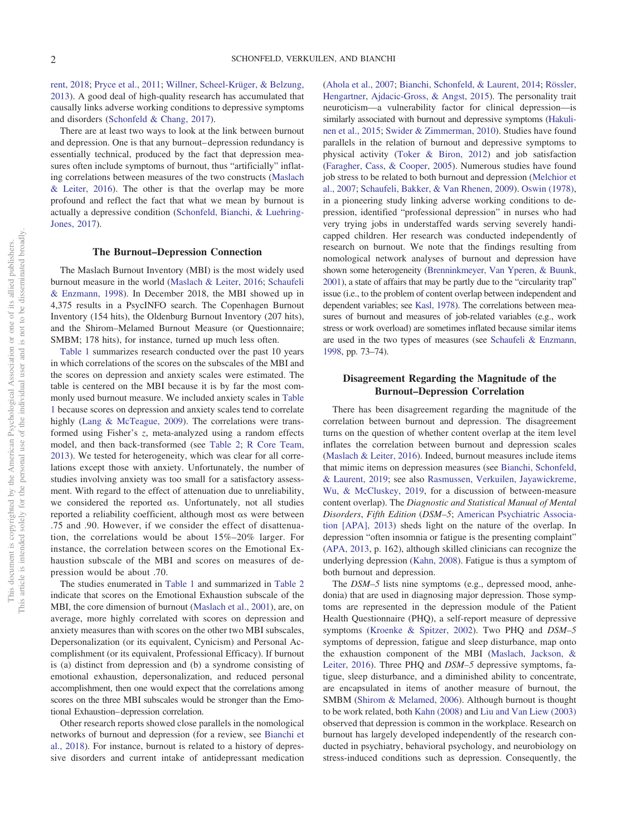[rent, 2018;](#page-11-1) [Pryce et al., 2011;](#page-12-14) [Willner, Scheel-Krüger, & Belzung,](#page-13-8) [2013\)](#page-13-8). A good deal of high-quality research has accumulated that causally links adverse working conditions to depressive symptoms and disorders [\(Schonfeld & Chang, 2017\)](#page-13-4).

There are at least two ways to look at the link between burnout and depression. One is that any burnout– depression redundancy is essentially technical, produced by the fact that depression measures often include symptoms of burnout, thus "artificially" inflating correlations between measures of the two constructs [\(Maslach](#page-12-6)  $&$  Leiter, 2016). The other is that the overlap may be more profound and reflect the fact that what we mean by burnout is actually a depressive condition [\(Schonfeld, Bianchi, & Luehring-](#page-13-7)[Jones, 2017\)](#page-13-7).

#### **The Burnout–Depression Connection**

The Maslach Burnout Inventory (MBI) is the most widely used burnout measure in the world [\(Maslach & Leiter, 2016;](#page-12-6) [Schaufeli](#page-12-4) [& Enzmann, 1998\)](#page-12-4). In December 2018, the MBI showed up in 4,375 results in a PsycINFO search. The Copenhagen Burnout Inventory (154 hits), the Oldenburg Burnout Inventory (207 hits), and the Shirom–Melamed Burnout Measure (or Questionnaire; SMBM; 178 hits), for instance, turned up much less often.

[Table 1](#page-2-0) summarizes research conducted over the past 10 years in which correlations of the scores on the subscales of the MBI and the scores on depression and anxiety scales were estimated. The table is centered on the MBI because it is by far the most commonly used burnout measure. We included anxiety scales in [Table](#page-2-0) [1](#page-2-0) because scores on depression and anxiety scales tend to correlate highly [\(Lang & McTeague, 2009\)](#page-12-15). The correlations were transformed using Fisher's *z*, meta-analyzed using a random effects model, and then back-transformed (see [Table 2;](#page-3-0) [R Core Team,](#page-12-10) [2013\)](#page-12-10). We tested for heterogeneity, which was clear for all correlations except those with anxiety. Unfortunately, the number of studies involving anxiety was too small for a satisfactory assessment. With regard to the effect of attenuation due to unreliability, we considered the reported  $\alpha s$ . Unfortunately, not all studies reported a reliability coefficient, although most  $\alpha s$  were between .75 and .90. However, if we consider the effect of disattenuation, the correlations would be about 15%–20% larger. For instance, the correlation between scores on the Emotional Exhaustion subscale of the MBI and scores on measures of depression would be about .70.

The studies enumerated in [Table 1](#page-2-0) and summarized in [Table 2](#page-3-0) indicate that scores on the Emotional Exhaustion subscale of the MBI, the core dimension of burnout [\(Maslach et al., 2001\)](#page-12-3), are, on average, more highly correlated with scores on depression and anxiety measures than with scores on the other two MBI subscales, Depersonalization (or its equivalent, Cynicism) and Personal Accomplishment (or its equivalent, Professional Efficacy). If burnout is (a) distinct from depression and (b) a syndrome consisting of emotional exhaustion, depersonalization, and reduced personal accomplishment, then one would expect that the correlations among scores on the three MBI subscales would be stronger than the Emotional Exhaustion– depression correlation.

Other research reports showed close parallels in the nomological networks of burnout and depression (for a review, see [Bianchi et](#page-11-1) [al., 2018\)](#page-11-1). For instance, burnout is related to a history of depressive disorders and current intake of antidepressant medication [\(Ahola et al., 2007;](#page-10-1) [Bianchi, Schonfeld, & Laurent, 2014;](#page-11-7) [Rössler,](#page-12-13) [Hengartner, Ajdacic-Gross, & Angst, 2015\)](#page-12-13). The personality trait neuroticism—a vulnerability factor for clinical depression—is similarly associated with burnout and depressive symptoms [\(Hakuli](#page-11-2)[nen et al., 2015;](#page-11-2) [Swider & Zimmerman, 2010\)](#page-13-6). Studies have found parallels in the relation of burnout and depressive symptoms to physical activity [\(Toker & Biron, 2012\)](#page-13-5) and job satisfaction [\(Faragher, Cass, & Cooper, 2005\)](#page-11-3). Numerous studies have found job stress to be related to both burnout and depression [\(Melchior et](#page-12-12) [al., 2007;](#page-12-12) [Schaufeli, Bakker, & Van Rhenen, 2009\)](#page-12-16). [Oswin \(1978\),](#page-12-5) in a pioneering study linking adverse working conditions to depression, identified "professional depression" in nurses who had very trying jobs in understaffed wards serving severely handicapped children. Her research was conducted independently of research on burnout. We note that the findings resulting from nomological network analyses of burnout and depression have shown some heterogeneity [\(Brenninkmeyer, Van Yperen, & Buunk,](#page-11-6) [2001\)](#page-11-6), a state of affairs that may be partly due to the "circularity trap" issue (i.e., to the problem of content overlap between independent and dependent variables; see [Kasl, 1978\)](#page-11-8). The correlations between measures of burnout and measures of job-related variables (e.g., work stress or work overload) are sometimes inflated because similar items are used in the two types of measures (see [Schaufeli & Enzmann,](#page-12-4) [1998,](#page-12-4) pp. 73–74).

## **Disagreement Regarding the Magnitude of the Burnout–Depression Correlation**

There has been disagreement regarding the magnitude of the correlation between burnout and depression. The disagreement turns on the question of whether content overlap at the item level inflates the correlation between burnout and depression scales [\(Maslach & Leiter, 2016\)](#page-12-6). Indeed, burnout measures include items that mimic items on depression measures (see [Bianchi, Schonfeld,](#page-11-5) [& Laurent, 2019;](#page-11-5) see also [Rasmussen, Verkuilen, Jayawickreme,](#page-12-8) [Wu, & McCluskey, 2019,](#page-12-8) for a discussion of between-measure content overlap). The *Diagnostic and Statistical Manual of Mental Disorders*, *Fifth Edition* (*DSM–5*; [American Psychiatric Associa](#page-10-0)[tion \[APA\], 2013\)](#page-10-0) sheds light on the nature of the overlap. In depression "often insomnia or fatigue is the presenting complaint" [\(APA, 2013,](#page-10-0) p. 162), although skilled clinicians can recognize the underlying depression [\(Kahn, 2008\)](#page-11-4). Fatigue is thus a symptom of both burnout and depression.

The *DSM–5* lists nine symptoms (e.g., depressed mood, anhedonia) that are used in diagnosing major depression. Those symptoms are represented in the depression module of the Patient Health Questionnaire (PHQ), a self-report measure of depressive symptoms [\(Kroenke & Spitzer, 2002\)](#page-12-11). Two PHQ and *DSM–5* symptoms of depression, fatigue and sleep disturbance, map onto the exhaustion component of the MBI [\(Maslach, Jackson, &](#page-12-7) [Leiter, 2016\)](#page-12-7). Three PHQ and *DSM–5* depressive symptoms, fatigue, sleep disturbance, and a diminished ability to concentrate, are encapsulated in items of another measure of burnout, the SMBM [\(Shirom & Melamed, 2006\)](#page-13-2). Although burnout is thought to be work related, both [Kahn \(2008\)](#page-11-4) and [Liu and Van Liew \(2003\)](#page-12-9) observed that depression is common in the workplace. Research on burnout has largely developed independently of the research conducted in psychiatry, behavioral psychology, and neurobiology on stress-induced conditions such as depression. Consequently, the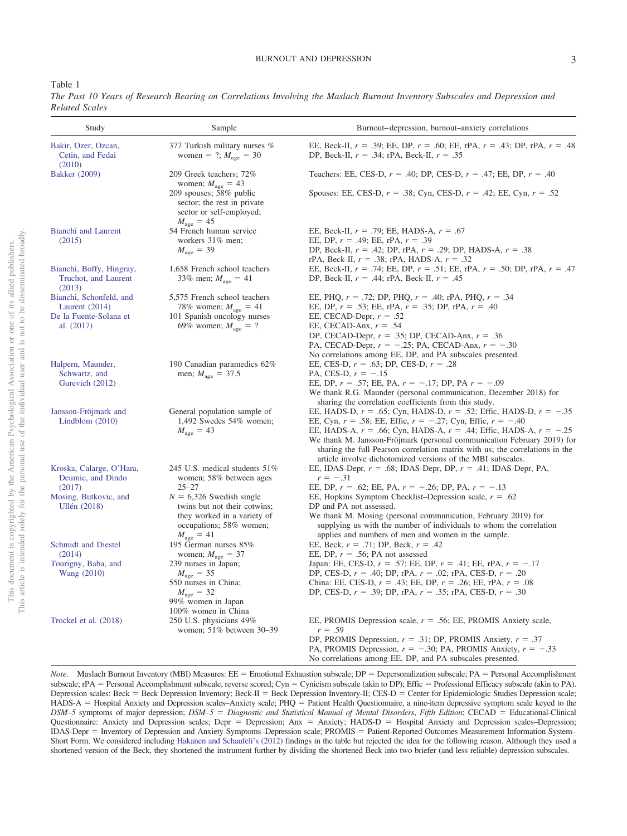## BURNOUT AND DEPRESSION 3

<span id="page-2-0"></span>Table 1

| Study                                                      | Sample                                                                                                                                                  | Burnout-depression, burnout-anxiety correlations                                                                                                                                                                                                                                                                                                                                                                                                          |
|------------------------------------------------------------|---------------------------------------------------------------------------------------------------------------------------------------------------------|-----------------------------------------------------------------------------------------------------------------------------------------------------------------------------------------------------------------------------------------------------------------------------------------------------------------------------------------------------------------------------------------------------------------------------------------------------------|
| Bakir, Ozer, Ozcan,<br>Cetin, and Fedai                    | 377 Turkish military nurses %<br>women = ?; $M_{\text{age}} = 30$                                                                                       | EE, Beck-II, $r = .39$ ; EE, DP, $r = .60$ ; EE, rPA, $r = .43$ ; DP, rPA, $r = .48$<br>DP, Beck-II, $r = .34$ ; rPA, Beck-II, $r = .35$                                                                                                                                                                                                                                                                                                                  |
| (2010)<br>Bakker (2009)                                    | 209 Greek teachers; 72%                                                                                                                                 | Teachers: EE, CES-D, $r = .40$ ; DP, CES-D, $r = .47$ ; EE, DP, $r = .40$                                                                                                                                                                                                                                                                                                                                                                                 |
|                                                            | women; $M_{\text{age}} = 43$<br>209 spouses; 58% public<br>sector; the rest in private<br>sector or self-employed;<br>$M_{\rm age} = 45$                | Spouses: EE, CES-D, $r = .38$ ; Cyn, CES-D, $r = .42$ ; EE, Cyn, $r = .52$                                                                                                                                                                                                                                                                                                                                                                                |
| Bianchi and Laurent<br>(2015)                              | 54 French human service<br>workers 31% men;<br>$M_{\text{age}} = 39$                                                                                    | EE, Beck-II, $r = .79$ ; EE, HADS-A, $r = .67$<br>EE, DP, $r = .49$ ; EE, rPA, $r = .39$<br>DP, Beck-II, $r = .42$ ; DP, rPA, $r = .29$ ; DP, HADS-A, $r = .38$<br>rPA, Beck-II, $r = .38$ ; rPA, HADS-A, $r = .32$                                                                                                                                                                                                                                       |
| Bianchi, Boffy, Hingray,<br>Truchot, and Laurent<br>(2013) | 1,658 French school teachers<br>33% men; $M_{\text{age}} = 41$                                                                                          | EE, Beck-II, $r = .74$ ; EE, DP, $r = .51$ ; EE, rPA, $r = .50$ ; DP, rPA, $r = .47$<br>DP, Beck-II, $r = .44$ ; rPA, Beck-II, $r = .45$                                                                                                                                                                                                                                                                                                                  |
| Bianchi, Schonfeld, and<br>Laurent $(2014)$                | 5,575 French school teachers<br>78% women; $M_{\text{age}} = 41$                                                                                        | EE, PHQ, $r = .72$ ; DP, PHQ, $r = .40$ ; rPA, PHQ, $r = .34$<br>EE, DP, $r = .53$ ; EE, rPA, $r = .35$ ; DP, rPA, $r = .40$                                                                                                                                                                                                                                                                                                                              |
| De la Fuente-Solana et<br>al. $(2017)$                     | 101 Spanish oncology nurses<br>69% women; $M_{\text{age}} = ?$                                                                                          | EE, CECAD-Depr, $r = .52$<br>EE, CECAD-Anx, $r = .54$<br>DP, CECAD-Depr, $r = .35$ ; DP, CECAD-Anx, $r = .36$<br>PA, CECAD-Depr, $r = -.25$ ; PA, CECAD-Anx, $r = -.30$<br>No correlations among EE, DP, and PA subscales presented.                                                                                                                                                                                                                      |
| Halpern, Maunder,<br>Schwartz, and<br>Gurevich (2012)      | 190 Canadian paramedics 62%<br>men; $M_{\text{age}} = 37.5$                                                                                             | EE, CES-D, $r = .63$ ; DP, CES-D, $r = .28$<br>PA, CES-D, $r = -.15$<br>EE, DP, $r = .57$ ; EE, PA, $r = -.17$ ; DP, PA $r = -.09$<br>We thank R.G. Maunder (personal communication, December 2018) for<br>sharing the correlation coefficients from this study.                                                                                                                                                                                          |
| Jansson-Fröjmark and<br>Lindblom $(2010)$                  | General population sample of<br>1,492 Swedes 54% women;<br>$M_{\text{age}} = 43$                                                                        | EE, HADS-D, $r = .65$ ; Cyn, HADS-D, $r = .52$ ; Effic, HADS-D, $r = -.35$<br>EE, Cyn, $r = .58$ ; EE, Effic, $r = -.27$ ; Cyn, Effic, $r = -.40$<br>EE, HADS-A, $r = .66$ ; Cyn, HADS-A, $r = .44$ ; Effic, HADS-A, $r = -.25$<br>We thank M. Jansson-Fröjmark (personal communication February 2019) for<br>sharing the full Pearson correlation matrix with us; the correlations in the<br>article involve dichotomized versions of the MBI subscales. |
| Kroska, Calarge, O'Hara,<br>Deumic, and Dindo              | 245 U.S. medical students 51%<br>women; 58% between ages                                                                                                | EE, IDAS-Depr, $r = .68$ ; IDAS-Depr, DP, $r = .41$ ; IDAS-Depr, PA,<br>$r = -.31$                                                                                                                                                                                                                                                                                                                                                                        |
| (2017)<br>Mosing, Butkovic, and<br>Ullén (2018)            | $25 - 27$<br>$N = 6,326$ Swedish single<br>twins but not their cotwins;<br>they worked in a variety of<br>occupations; 58% women;<br>$M_{\rm age} = 41$ | EE, DP, $r = .62$ ; EE, PA, $r = -.26$ ; DP, PA, $r = -.13$<br>EE, Hopkins Symptom Checklist–Depression scale, $r = .62$<br>DP and PA not assessed.<br>We thank M. Mosing (personal communication, February 2019) for<br>supplying us with the number of individuals to whom the correlation<br>applies and numbers of men and women in the sample.                                                                                                       |
| Schmidt and Diestel<br>(2014)                              | 195 German nurses 85%<br>women; $M_{\text{age}} = 37$                                                                                                   | EE, Beck, $r = .71$ ; DP, Beck, $r = .42$<br>EE, DP, $r = .56$ ; PA not assessed                                                                                                                                                                                                                                                                                                                                                                          |
| Tourigny, Baba, and<br>Wang (2010)                         | 239 nurses in Japan;<br>$M_{\text{age}} = 35$<br>550 nurses in China;<br>$M_{\text{age}} = 32$<br>99% women in Japan<br>100% women in China             | Japan: EE, CES-D, $r = .57$ ; EE, DP, $r = .41$ ; EE, rPA, $r = -.17$<br>DP, CES-D, $r = .40$ ; DP, rPA, $r = .02$ ; rPA, CES-D, $r = .20$<br>China: EE, CES-D, $r = .43$ ; EE, DP, $r = .26$ ; EE, rPA, $r = .08$<br>DP, CES-D, $r = .39$ ; DP, rPA, $r = .35$ ; rPA, CES-D, $r = .30$                                                                                                                                                                   |
| Trockel et al. (2018)                                      | 250 U.S. physicians 49%<br>women; 51% between 30-39                                                                                                     | EE, PROMIS Depression scale, $r = .56$ ; EE, PROMIS Anxiety scale,<br>$r = .59$<br>DP, PROMIS Depression, $r = .31$ ; DP, PROMIS Anxiety, $r = .37$<br>PA, PROMIS Depression, $r = -.30$ ; PA, PROMIS Anxiety, $r = -.33$<br>No correlations among EE. DP, and PA subscales presented.                                                                                                                                                                    |

*The Past 10 Years of Research Bearing on Correlations Involving the Maslach Burnout Inventory Subscales and Depression and Related Scales*

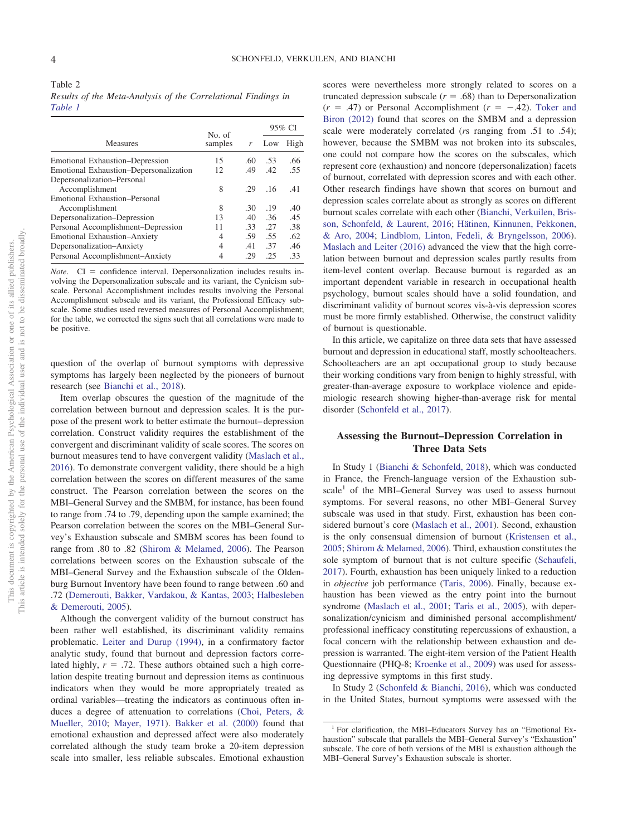<span id="page-3-0"></span>

|                                        | No. of  |     |     | 95% CI |
|----------------------------------------|---------|-----|-----|--------|
| Measures                               | samples | r   | Low | High   |
| Emotional Exhaustion–Depression        | 15      | .60 | .53 | .66    |
| Emotional Exhaustion-Depersonalization | 12      | .49 | .42 | .55    |
| Depersonalization-Personal             |         |     |     |        |
| Accomplishment                         | 8       | -29 | .16 | .41    |
| Emotional Exhaustion–Personal          |         |     |     |        |
| Accomplishment                         | 8       | .30 | .19 | .40    |
| Depersonalization-Depression           | 13      | .40 | .36 | .45    |
| Personal Accomplishment-Depression     | 11      | .33 | .27 | .38    |
| <b>Emotional Exhaustion-Anxiety</b>    | 4       | .59 | .55 | .62    |
| Depersonalization-Anxiety              | 4       | .41 | .37 | .46    |
| Personal Accomplishment-Anxiety        | 4       | .29 | .25 | .33    |

*Note*. CI = confidence interval. Depersonalization includes results involving the Depersonalization subscale and its variant, the Cynicism subscale. Personal Accomplishment includes results involving the Personal Accomplishment subscale and its variant, the Professional Efficacy subscale. Some studies used reversed measures of Personal Accomplishment; for the table, we corrected the signs such that all correlations were made to be positive.

question of the overlap of burnout symptoms with depressive symptoms has largely been neglected by the pioneers of burnout research (see [Bianchi et al., 2018\)](#page-11-1).

Item overlap obscures the question of the magnitude of the correlation between burnout and depression scales. It is the purpose of the present work to better estimate the burnout– depression correlation. Construct validity requires the establishment of the convergent and discriminant validity of scale scores. The scores on burnout measures tend to have convergent validity [\(Maslach et al.,](#page-12-7) [2016\)](#page-12-7). To demonstrate convergent validity, there should be a high correlation between the scores on different measures of the same construct. The Pearson correlation between the scores on the MBI–General Survey and the SMBM, for instance, has been found to range from .74 to .79, depending upon the sample examined; the Pearson correlation between the scores on the MBI–General Survey's Exhaustion subscale and SMBM scores has been found to range from .80 to .82 [\(Shirom & Melamed, 2006\)](#page-13-2). The Pearson correlations between scores on the Exhaustion subscale of the MBI–General Survey and the Exhaustion subscale of the Oldenburg Burnout Inventory have been found to range between .60 and .72 [\(Demerouti, Bakker, Vardakou, & Kantas, 2003;](#page-11-15) [Halbesleben](#page-11-18) [& Demerouti, 2005\)](#page-11-18).

Although the convergent validity of the burnout construct has been rather well established, its discriminant validity remains problematic. [Leiter and Durup \(1994\),](#page-12-23) in a confirmatory factor analytic study, found that burnout and depression factors correlated highly,  $r = .72$ . These authors obtained such a high correlation despite treating burnout and depression items as continuous indicators when they would be more appropriately treated as ordinal variables—treating the indicators as continuous often induces a degree of attenuation to correlations [\(Choi, Peters, &](#page-11-19) [Mueller, 2010;](#page-11-19) [Mayer, 1971\)](#page-12-19). [Bakker et al. \(2000\)](#page-10-4) found that emotional exhaustion and depressed affect were also moderately correlated although the study team broke a 20-item depression scale into smaller, less reliable subscales. Emotional exhaustion scores were nevertheless more strongly related to scores on a truncated depression subscale  $(r = .68)$  than to Depersonalization  $(r = .47)$  or Personal Accomplishment  $(r = -.42)$ . [Toker and](#page-13-5) [Biron \(2012\)](#page-13-5) found that scores on the SMBM and a depression scale were moderately correlated (*r*s ranging from .51 to .54); however, because the SMBM was not broken into its subscales, one could not compare how the scores on the subscales, which represent core (exhaustion) and noncore (depersonalization) facets of burnout, correlated with depression scores and with each other. Other research findings have shown that scores on burnout and depression scales correlate about as strongly as scores on different burnout scales correlate with each other [\(Bianchi, Verkuilen, Bris](#page-11-16)[son, Schonfeld, & Laurent, 2016;](#page-11-16) [Hätinen, Kinnunen, Pekkonen,](#page-11-17) [& Aro, 2004;](#page-11-17) [Lindblom, Linton, Fedeli, & Bryngelsson, 2006\)](#page-12-22). [Maslach and Leiter \(2016\)](#page-12-6) advanced the view that the high correlation between burnout and depression scales partly results from item-level content overlap. Because burnout is regarded as an important dependent variable in research in occupational health psychology, burnout scales should have a solid foundation, and discriminant validity of burnout scores vis-à-vis depression scores must be more firmly established. Otherwise, the construct validity of burnout is questionable.

In this article, we capitalize on three data sets that have assessed burnout and depression in educational staff, mostly schoolteachers. Schoolteachers are an apt occupational group to study because their working conditions vary from benign to highly stressful, with greater-than-average exposure to workplace violence and epidemiologic research showing higher-than-average risk for mental disorder [\(Schonfeld et al., 2017\)](#page-13-7).

# **Assessing the Burnout–Depression Correlation in Three Data Sets**

In Study 1 [\(Bianchi & Schonfeld, 2018\)](#page-11-0), which was conducted in France, the French-language version of the Exhaustion subscale<sup>1</sup> of the MBI–General Survey was used to assess burnout symptoms. For several reasons, no other MBI–General Survey subscale was used in that study. First, exhaustion has been considered burnout's core [\(Maslach et al., 2001\)](#page-12-3). Second, exhaustion is the only consensual dimension of burnout [\(Kristensen et al.,](#page-12-0) [2005;](#page-12-0) [Shirom & Melamed, 2006\)](#page-13-2). Third, exhaustion constitutes the sole symptom of burnout that is not culture specific [\(Schaufeli,](#page-12-21) [2017\)](#page-12-21). Fourth, exhaustion has been uniquely linked to a reduction in *objective* job performance [\(Taris, 2006\)](#page-13-12). Finally, because exhaustion has been viewed as the entry point into the burnout syndrome [\(Maslach et al., 2001;](#page-12-3) [Taris et al., 2005\)](#page-13-1), with depersonalization/cynicism and diminished personal accomplishment/ professional inefficacy constituting repercussions of exhaustion, a focal concern with the relationship between exhaustion and depression is warranted. The eight-item version of the Patient Health Questionnaire (PHQ-8; [Kroenke et al., 2009\)](#page-12-20) was used for assessing depressive symptoms in this first study.

In Study 2 [\(Schonfeld & Bianchi, 2016\)](#page-13-0), which was conducted in the United States, burnout symptoms were assessed with the

<sup>1</sup> For clarification, the MBI–Educators Survey has an "Emotional Exhaustion" subscale that parallels the MBI–General Survey's "Exhaustion" subscale. The core of both versions of the MBI is exhaustion although the MBI–General Survey's Exhaustion subscale is shorter.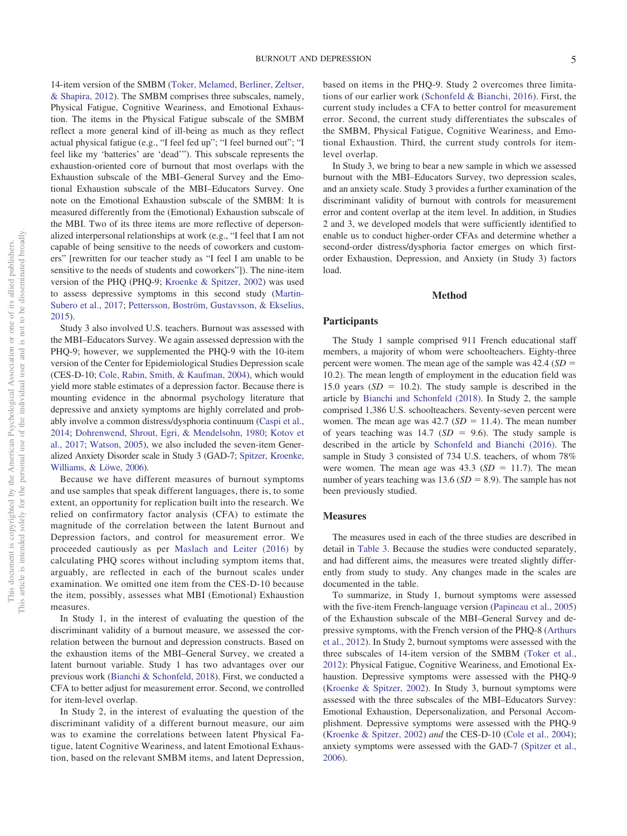14-item version of the SMBM [\(Toker, Melamed, Berliner, Zeltser,](#page-13-14) [& Shapira, 2012\)](#page-13-14). The SMBM comprises three subscales, namely, Physical Fatigue, Cognitive Weariness, and Emotional Exhaustion. The items in the Physical Fatigue subscale of the SMBM reflect a more general kind of ill-being as much as they reflect actual physical fatigue (e.g., "I feel fed up"; "I feel burned out"; "I feel like my 'batteries' are 'dead'"). This subscale represents the exhaustion-oriented core of burnout that most overlaps with the Exhaustion subscale of the MBI–General Survey and the Emotional Exhaustion subscale of the MBI–Educators Survey. One note on the Emotional Exhaustion subscale of the SMBM: It is measured differently from the (Emotional) Exhaustion subscale of the MBI. Two of its three items are more reflective of depersonalized interpersonal relationships at work (e.g., "I feel that I am not capable of being sensitive to the needs of coworkers and customers" [rewritten for our teacher study as "I feel I am unable to be sensitive to the needs of students and coworkers"]). The nine-item version of the PHQ (PHQ-9; [Kroenke & Spitzer, 2002\)](#page-12-11) was used to assess depressive symptoms in this second study [\(Martin-](#page-12-26)[Subero et al., 2017;](#page-12-26) [Pettersson, Boström, Gustavsson, & Ekselius,](#page-12-24) [2015\)](#page-12-24).

Study 3 also involved U.S. teachers. Burnout was assessed with the MBI–Educators Survey. We again assessed depression with the PHQ-9; however, we supplemented the PHQ-9 with the 10-item version of the Center for Epidemiological Studies Depression scale (CES-D-10; [Cole, Rabin, Smith, & Kaufman, 2004\)](#page-11-20), which would yield more stable estimates of a depression factor. Because there is mounting evidence in the abnormal psychology literature that depressive and anxiety symptoms are highly correlated and probably involve a common distress/dysphoria continuum [\(Caspi et al.,](#page-11-23) [2014;](#page-11-23) [Dohrenwend, Shrout, Egri, & Mendelsohn, 1980;](#page-11-21) [Kotov et](#page-11-22) [al., 2017;](#page-11-22) [Watson, 2005\)](#page-13-15), we also included the seven-item Generalized Anxiety Disorder scale in Study 3 (GAD-7; [Spitzer, Kroenke,](#page-13-13) [Williams, & Löwe, 2006\)](#page-13-13).

Because we have different measures of burnout symptoms and use samples that speak different languages, there is, to some extent, an opportunity for replication built into the research. We relied on confirmatory factor analysis (CFA) to estimate the magnitude of the correlation between the latent Burnout and Depression factors, and control for measurement error. We proceeded cautiously as per [Maslach and Leiter \(2016\)](#page-12-6) by calculating PHQ scores without including symptom items that, arguably, are reflected in each of the burnout scales under examination. We omitted one item from the CES-D-10 because the item, possibly, assesses what MBI (Emotional) Exhaustion measures.

In Study 1, in the interest of evaluating the question of the discriminant validity of a burnout measure, we assessed the correlation between the burnout and depression constructs. Based on the exhaustion items of the MBI–General Survey, we created a latent burnout variable. Study 1 has two advantages over our previous work [\(Bianchi & Schonfeld, 2018\)](#page-11-0). First, we conducted a CFA to better adjust for measurement error. Second, we controlled for item-level overlap.

In Study 2, in the interest of evaluating the question of the discriminant validity of a different burnout measure, our aim was to examine the correlations between latent Physical Fatigue, latent Cognitive Weariness, and latent Emotional Exhaustion, based on the relevant SMBM items, and latent Depression,

based on items in the PHQ-9. Study 2 overcomes three limitations of our earlier work [\(Schonfeld & Bianchi, 2016\)](#page-13-0). First, the current study includes a CFA to better control for measurement error. Second, the current study differentiates the subscales of the SMBM, Physical Fatigue, Cognitive Weariness, and Emotional Exhaustion. Third, the current study controls for itemlevel overlap.

In Study 3, we bring to bear a new sample in which we assessed burnout with the MBI–Educators Survey, two depression scales, and an anxiety scale. Study 3 provides a further examination of the discriminant validity of burnout with controls for measurement error and content overlap at the item level. In addition, in Studies 2 and 3, we developed models that were sufficiently identified to enable us to conduct higher-order CFAs and determine whether a second-order distress/dysphoria factor emerges on which firstorder Exhaustion, Depression, and Anxiety (in Study 3) factors load.

## **Method**

## **Participants**

The Study 1 sample comprised 911 French educational staff members, a majority of whom were schoolteachers. Eighty-three percent were women. The mean age of the sample was  $42.4$  ( $SD =$ 10.2). The mean length of employment in the education field was 15.0 years  $(SD = 10.2)$ . The study sample is described in the article by [Bianchi and Schonfeld \(2018\).](#page-11-0) In Study 2, the sample comprised 1,386 U.S. schoolteachers. Seventy-seven percent were women. The mean age was  $42.7$  ( $SD = 11.4$ ). The mean number of years teaching was  $14.7$  ( $SD = 9.6$ ). The study sample is described in the article by [Schonfeld and Bianchi \(2016\).](#page-13-0) The sample in Study 3 consisted of 734 U.S. teachers, of whom 78% were women. The mean age was  $43.3$  ( $SD = 11.7$ ). The mean number of years teaching was  $13.6$  ( $SD = 8.9$ ). The sample has not been previously studied.

## **Measures**

The measures used in each of the three studies are described in detail in [Table 3.](#page-5-0) Because the studies were conducted separately, and had different aims, the measures were treated slightly differently from study to study. Any changes made in the scales are documented in the table.

To summarize, in Study 1, burnout symptoms were assessed with the five-item French-language version [\(Papineau et al., 2005\)](#page-12-25) of the Exhaustion subscale of the MBI–General Survey and depressive symptoms, with the French version of the PHQ-8 [\(Arthurs](#page-10-5) [et al., 2012\)](#page-10-5). In Study 2, burnout symptoms were assessed with the three subscales of 14-item version of the SMBM [\(Toker et al.,](#page-13-14) [2012\)](#page-13-14): Physical Fatigue, Cognitive Weariness, and Emotional Exhaustion. Depressive symptoms were assessed with the PHQ-9 [\(Kroenke & Spitzer, 2002\)](#page-12-11). In Study 3, burnout symptoms were assessed with the three subscales of the MBI–Educators Survey: Emotional Exhaustion, Depersonalization, and Personal Accomplishment. Depressive symptoms were assessed with the PHQ-9 [\(Kroenke & Spitzer, 2002\)](#page-12-11) *and* the CES-D-10 [\(Cole et al., 2004\)](#page-11-20); anxiety symptoms were assessed with the GAD-7 [\(Spitzer et al.,](#page-13-13) [2006\)](#page-13-13).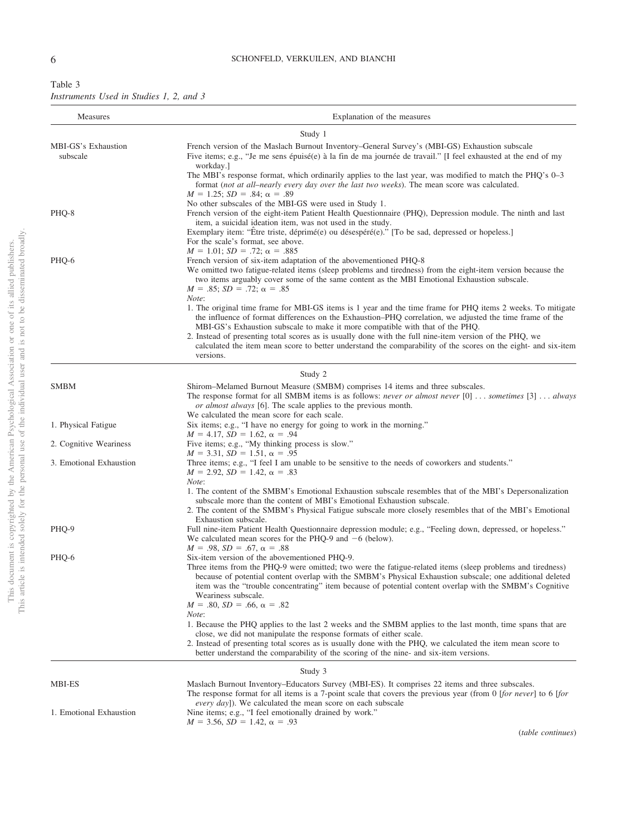# 6 SCHONFELD, VERKUILEN, AND BIANCHI

<span id="page-5-0"></span>

| Table 3                                 |  |  |  |  |
|-----------------------------------------|--|--|--|--|
| Instruments Used in Studies 1, 2, and 3 |  |  |  |  |

| Measures                        | Explanation of the measures                                                                                                                                                                                                                                                                                                                                                                                                                                                                                                                        |
|---------------------------------|----------------------------------------------------------------------------------------------------------------------------------------------------------------------------------------------------------------------------------------------------------------------------------------------------------------------------------------------------------------------------------------------------------------------------------------------------------------------------------------------------------------------------------------------------|
|                                 | Study 1                                                                                                                                                                                                                                                                                                                                                                                                                                                                                                                                            |
| MBI-GS's Exhaustion<br>subscale | French version of the Maslach Burnout Inventory-General Survey's (MBI-GS) Exhaustion subscale<br>Five items; e.g., "Je me sens épuisé(e) à la fin de ma journée de travail." [I feel exhausted at the end of my<br>workday.]                                                                                                                                                                                                                                                                                                                       |
|                                 | The MBI's response format, which ordinarily applies to the last year, was modified to match the PHQ's 0-3<br>format (not at all-nearly every day over the last two weeks). The mean score was calculated.<br>$M = 1.25$ ; $SD = .84$ ; $\alpha = .89$                                                                                                                                                                                                                                                                                              |
| PHQ-8                           | No other subscales of the MBI-GS were used in Study 1.<br>French version of the eight-item Patient Health Questionnaire (PHQ), Depression module. The ninth and last<br>item, a suicidal ideation item, was not used in the study.<br>Exemplary item: "Etre triste, déprimé(e) ou désespéré(e)." [To be sad, depressed or hopeless.]<br>For the scale's format, see above.                                                                                                                                                                         |
| PHQ-6                           | $M = 1.01$ ; $SD = .72$ ; $\alpha = .885$<br>French version of six-item adaptation of the abovementioned PHQ-8<br>We omitted two fatigue-related items (sleep problems and tiredness) from the eight-item version because the<br>two items arguably cover some of the same content as the MBI Emotional Exhaustion subscale.<br>$M = .85$ ; $SD = .72$ ; $\alpha = .85$<br>Note:                                                                                                                                                                   |
|                                 | 1. The original time frame for MBI-GS items is 1 year and the time frame for PHQ items 2 weeks. To mitigate<br>the influence of format differences on the Exhaustion–PHQ correlation, we adjusted the time frame of the<br>MBI-GS's Exhaustion subscale to make it more compatible with that of the PHQ.<br>2. Instead of presenting total scores as is usually done with the full nine-item version of the PHQ, we<br>calculated the item mean score to better understand the comparability of the scores on the eight- and six-item<br>versions. |
|                                 | Study 2                                                                                                                                                                                                                                                                                                                                                                                                                                                                                                                                            |
| <b>SMBM</b>                     | Shirom-Melamed Burnout Measure (SMBM) comprises 14 items and three subscales.<br>The response format for all SMBM items is as follows: never or almost never [0]  sometimes [3]  always<br>or almost always [6]. The scale applies to the previous month.                                                                                                                                                                                                                                                                                          |
| 1. Physical Fatigue             | We calculated the mean score for each scale.<br>Six items; e.g., "I have no energy for going to work in the morning."<br>$M = 4.17$ , $SD = 1.62$ , $\alpha = .94$                                                                                                                                                                                                                                                                                                                                                                                 |
| 2. Cognitive Weariness          | Five items; e.g., "My thinking process is slow."<br>$M = 3.31$ , $SD = 1.51$ , $\alpha = .95$                                                                                                                                                                                                                                                                                                                                                                                                                                                      |
| 3. Emotional Exhaustion         | Three items; e.g., "I feel I am unable to be sensitive to the needs of coworkers and students."<br>$M = 2.92$ , $SD = 1.42$ , $\alpha = .83$<br>Note:                                                                                                                                                                                                                                                                                                                                                                                              |
|                                 | 1. The content of the SMBM's Emotional Exhaustion subscale resembles that of the MBI's Depersonalization<br>subscale more than the content of MBI's Emotional Exhaustion subscale.<br>2. The content of the SMBM's Physical Fatigue subscale more closely resembles that of the MBI's Emotional<br>Exhaustion subscale.                                                                                                                                                                                                                            |
| PHQ-9                           | Full nine-item Patient Health Questionnaire depression module; e.g., "Feeling down, depressed, or hopeless."<br>We calculated mean scores for the PHQ-9 and $-6$ (below).<br>$M = .98$ , $SD = .67$ , $\alpha = .88$                                                                                                                                                                                                                                                                                                                               |
| PHQ-6                           | Six-item version of the abovementioned PHQ-9.<br>Three items from the PHQ-9 were omitted; two were the fatigue-related items (sleep problems and tiredness)<br>because of potential content overlap with the SMBM's Physical Exhaustion subscale; one additional deleted<br>item was the "trouble concentrating" item because of potential content overlap with the SMBM's Cognitive<br>Weariness subscale.<br>$M = .80$ , $SD = .66$ , $\alpha = .82$<br>Note:                                                                                    |
|                                 | 1. Because the PHQ applies to the last 2 weeks and the SMBM applies to the last month, time spans that are<br>close, we did not manipulate the response formats of either scale.<br>2. Instead of presenting total scores as is usually done with the PHQ, we calculated the item mean score to<br>better understand the comparability of the scoring of the nine- and six-item versions.                                                                                                                                                          |
|                                 | Study 3                                                                                                                                                                                                                                                                                                                                                                                                                                                                                                                                            |
| MBI-ES                          | Maslach Burnout Inventory–Educators Survey (MBI-ES). It comprises 22 items and three subscales.<br>The response format for all items is a 7-point scale that covers the previous year (from 0 [for never] to 6 [for<br><i>every day</i> ]). We calculated the mean score on each subscale                                                                                                                                                                                                                                                          |
| 1. Emotional Exhaustion         | Nine items; e.g., "I feel emotionally drained by work."<br>$M = 3.56$ , $SD = 1.42$ , $\alpha = .93$                                                                                                                                                                                                                                                                                                                                                                                                                                               |

(*table continues*)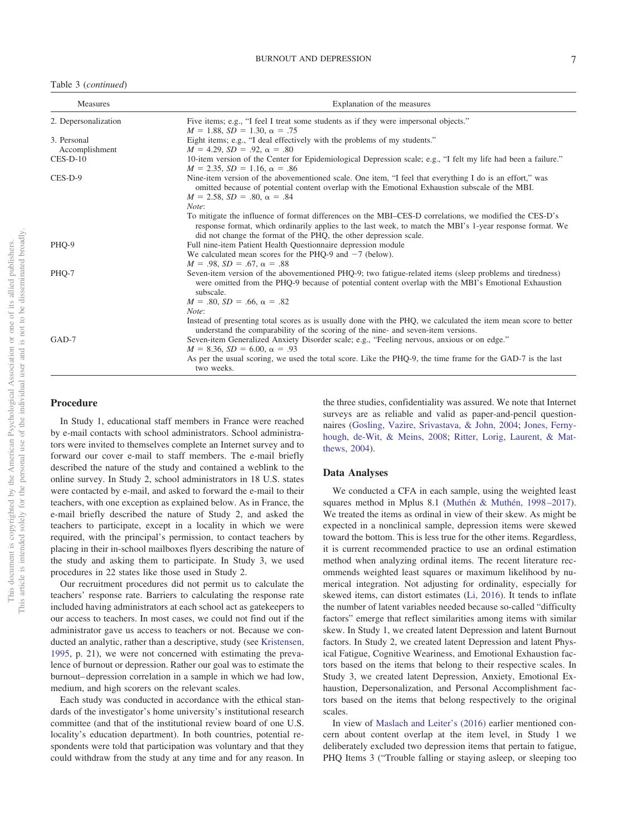#### BURNOUT AND DEPRESSION 7

|  |  | Table 3 (continued) |
|--|--|---------------------|
|--|--|---------------------|

| Measures                      | Explanation of the measures                                                                                                                                                                                                                                                              |  |  |
|-------------------------------|------------------------------------------------------------------------------------------------------------------------------------------------------------------------------------------------------------------------------------------------------------------------------------------|--|--|
| 2. Depersonalization          | Five items; e.g., "I feel I treat some students as if they were impersonal objects."<br>$M = 1.88$ , $SD = 1.30$ , $\alpha = .75$                                                                                                                                                        |  |  |
| 3. Personal<br>Accomplishment | Eight items; e.g., "I deal effectively with the problems of my students."<br>$M = 4.29$ , $SD = .92$ , $\alpha = .80$                                                                                                                                                                    |  |  |
| $CES-D-10$                    | 10-item version of the Center for Epidemiological Depression scale; e.g., "I felt my life had been a failure."<br>$M = 2.35$ , $SD = 1.16$ , $\alpha = .86$                                                                                                                              |  |  |
| CES-D-9                       | Nine-item version of the abovementioned scale. One item, "I feel that everything I do is an effort," was<br>omitted because of potential content overlap with the Emotional Exhaustion subscale of the MBI.<br>$M = 2.58$ , $SD = .80$ , $\alpha = .84$<br>Note:                         |  |  |
|                               | To mitigate the influence of format differences on the MBI–CES-D correlations, we modified the CES-D's<br>response format, which ordinarily applies to the last week, to match the MBI's 1-year response format. We<br>did not change the format of the PHQ, the other depression scale. |  |  |
| PHO-9                         | Full nine-item Patient Health Questionnaire depression module<br>We calculated mean scores for the PHQ-9 and $-7$ (below).<br>$M = .98$ , $SD = .67$ , $\alpha = .88$                                                                                                                    |  |  |
| PHO-7                         | Seven-item version of the abovementioned PHQ-9; two fatigue-related items (sleep problems and tiredness)<br>were omitted from the PHQ-9 because of potential content overlap with the MBI's Emotional Exhaustion<br>subscale.<br>$M = .80$ , $SD = .66$ , $\alpha = .82$<br>Note:        |  |  |
|                               | Instead of presenting total scores as is usually done with the PHQ, we calculated the item mean score to better<br>understand the comparability of the scoring of the nine- and seven-item versions.                                                                                     |  |  |
| GAD-7                         | Seven-item Generalized Anxiety Disorder scale; e.g., "Feeling nervous, anxious or on edge."<br>$M = 8.36$ , $SD = 6.00$ , $\alpha = .93$<br>As per the usual scoring, we used the total score. Like the PHQ-9, the time frame for the GAD-7 is the last<br>two weeks.                    |  |  |

# **Procedure**

In Study 1, educational staff members in France were reached by e-mail contacts with school administrators. School administrators were invited to themselves complete an Internet survey and to forward our cover e-mail to staff members. The e-mail briefly described the nature of the study and contained a weblink to the online survey. In Study 2, school administrators in 18 U.S. states were contacted by e-mail, and asked to forward the e-mail to their teachers, with one exception as explained below. As in France, the e-mail briefly described the nature of Study 2, and asked the teachers to participate, except in a locality in which we were required, with the principal's permission, to contact teachers by placing in their in-school mailboxes flyers describing the nature of the study and asking them to participate. In Study 3, we used procedures in 22 states like those used in Study 2.

Our recruitment procedures did not permit us to calculate the teachers' response rate. Barriers to calculating the response rate included having administrators at each school act as gatekeepers to our access to teachers. In most cases, we could not find out if the administrator gave us access to teachers or not. Because we conducted an analytic, rather than a descriptive, study (see [Kristensen,](#page-12-30) [1995,](#page-12-30) p. 21), we were not concerned with estimating the prevalence of burnout or depression. Rather our goal was to estimate the burnout– depression correlation in a sample in which we had low, medium, and high scorers on the relevant scales.

Each study was conducted in accordance with the ethical standards of the investigator's home university's institutional research committee (and that of the institutional review board of one U.S. locality's education department). In both countries, potential respondents were told that participation was voluntary and that they could withdraw from the study at any time and for any reason. In the three studies, confidentiality was assured. We note that Internet surveys are as reliable and valid as paper-and-pencil questionnaires [\(Gosling, Vazire, Srivastava, & John, 2004;](#page-11-25) [Jones, Ferny](#page-11-24)[hough, de-Wit, & Meins, 2008;](#page-11-24) [Ritter, Lorig, Laurent, & Mat](#page-12-28)[thews, 2004\)](#page-12-28).

#### **Data Analyses**

We conducted a CFA in each sample, using the weighted least squares method in Mplus 8.1 [\(Muthén & Muthén, 1998 –2017\)](#page-12-27). We treated the items as ordinal in view of their skew. As might be expected in a nonclinical sample, depression items were skewed toward the bottom. This is less true for the other items. Regardless, it is current recommended practice to use an ordinal estimation method when analyzing ordinal items. The recent literature recommends weighted least squares or maximum likelihood by numerical integration. Not adjusting for ordinality, especially for skewed items, can distort estimates [\(Li, 2016\)](#page-12-29). It tends to inflate the number of latent variables needed because so-called "difficulty factors" emerge that reflect similarities among items with similar skew. In Study 1, we created latent Depression and latent Burnout factors. In Study 2, we created latent Depression and latent Physical Fatigue, Cognitive Weariness, and Emotional Exhaustion factors based on the items that belong to their respective scales. In Study 3, we created latent Depression, Anxiety, Emotional Exhaustion, Depersonalization, and Personal Accomplishment factors based on the items that belong respectively to the original scales.

In view of [Maslach and Leiter's \(2016\)](#page-12-6) earlier mentioned concern about content overlap at the item level, in Study 1 we deliberately excluded two depression items that pertain to fatigue, PHQ Items 3 ("Trouble falling or staying asleep, or sleeping too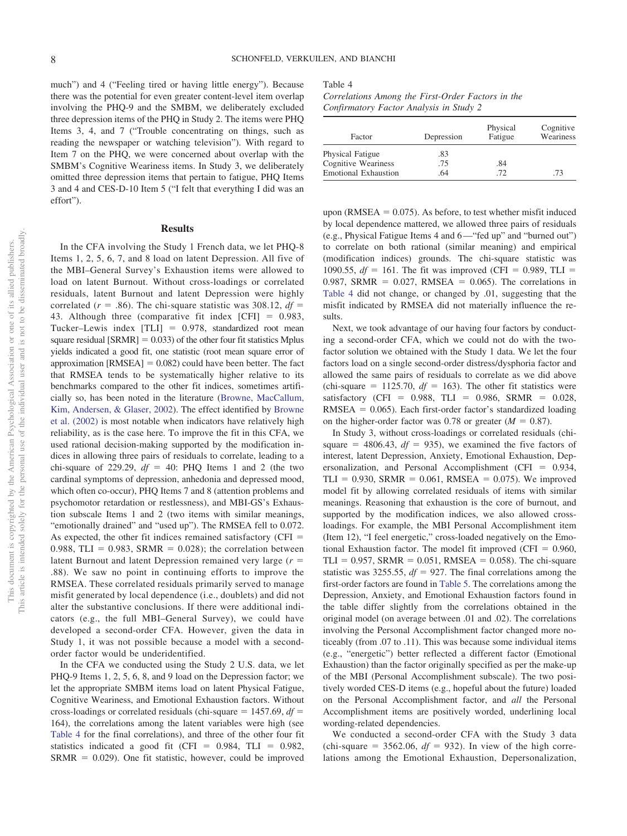much") and 4 ("Feeling tired or having little energy"). Because there was the potential for even greater content-level item overlap involving the PHQ-9 and the SMBM, we deliberately excluded three depression items of the PHQ in Study 2. The items were PHQ Items 3, 4, and 7 ("Trouble concentrating on things, such as reading the newspaper or watching television"). With regard to Item 7 on the PHQ, we were concerned about overlap with the SMBM's Cognitive Weariness items. In Study 3, we deliberately omitted three depression items that pertain to fatigue, PHQ Items 3 and 4 and CES-D-10 Item 5 ("I felt that everything I did was an effort").

#### **Results**

In the CFA involving the Study 1 French data, we let PHQ-8 Items 1, 2, 5, 6, 7, and 8 load on latent Depression. All five of the MBI–General Survey's Exhaustion items were allowed to load on latent Burnout. Without cross-loadings or correlated residuals, latent Burnout and latent Depression were highly correlated ( $r = .86$ ). The chi-square statistic was 308.12,  $df =$ 43. Although three (comparative fit index  $[CFI] = 0.983$ , Tucker–Lewis index [TLI] = 0.978, standardized root mean square residual  $[SRMR] = 0.033$  of the other four fit statistics Mplus yields indicated a good fit, one statistic (root mean square error of approximation  $[RMSEA] = 0.082$  could have been better. The fact that RMSEA tends to be systematically higher relative to its benchmarks compared to the other fit indices, sometimes artificially so, has been noted in the literature [\(Browne, MacCallum,](#page-11-26) [Kim, Andersen, & Glaser, 2002\)](#page-11-26). The effect identified by [Browne](#page-11-26) [et al. \(2002\)](#page-11-26) is most notable when indicators have relatively high reliability, as is the case here. To improve the fit in this CFA, we used rational decision-making supported by the modification indices in allowing three pairs of residuals to correlate, leading to a chi-square of 229.29,  $df = 40$ : PHQ Items 1 and 2 (the two cardinal symptoms of depression, anhedonia and depressed mood, which often co-occur), PHQ Items 7 and 8 (attention problems and psychomotor retardation or restlessness), and MBI-GS's Exhaustion subscale Items 1 and 2 (two items with similar meanings, "emotionally drained" and "used up"). The RMSEA fell to 0.072. As expected, the other fit indices remained satisfactory (CFI  $=$  $0.988$ , TLI = 0.983, SRMR = 0.028); the correlation between latent Burnout and latent Depression remained very large  $(r =$ .88). We saw no point in continuing efforts to improve the RMSEA. These correlated residuals primarily served to manage misfit generated by local dependence (i.e., doublets) and did not alter the substantive conclusions. If there were additional indicators (e.g., the full MBI–General Survey), we could have developed a second-order CFA. However, given the data in Study 1, it was not possible because a model with a secondorder factor would be underidentified.

In the CFA we conducted using the Study 2 U.S. data, we let PHQ-9 Items 1, 2, 5, 6, 8, and 9 load on the Depression factor; we let the appropriate SMBM items load on latent Physical Fatigue, Cognitive Weariness, and Emotional Exhaustion factors. Without cross-loadings or correlated residuals (chi-square  $= 1457.69$ ,  $df =$ 164), the correlations among the latent variables were high (see [Table 4](#page-7-0) for the final correlations), and three of the other four fit statistics indicated a good fit (CFI =  $0.984$ , TLI =  $0.982$ ,  $SRMR = 0.029$ ). One fit statistic, however, could be improved

#### <span id="page-7-0"></span>Table 4

*Correlations Among the First-Order Factors in the Confirmatory Factor Analysis in Study 2*

| Factor                      | Depression | Physical<br>Fatigue | Cognitive<br>Weariness |
|-----------------------------|------------|---------------------|------------------------|
| Physical Fatigue            | .83        |                     |                        |
| Cognitive Weariness         | .75        | .84                 |                        |
| <b>Emotional Exhaustion</b> | .64        | .72                 | .73                    |

upon ( $RMSEA = 0.075$ ). As before, to test whether misfit induced by local dependence mattered, we allowed three pairs of residuals (e.g., Physical Fatigue Items 4 and 6—"fed up" and "burned out") to correlate on both rational (similar meaning) and empirical (modification indices) grounds. The chi-square statistic was 1090.55,  $df = 161$ . The fit was improved (CFI = 0.989, TLI =  $0.987$ , SRMR =  $0.027$ , RMSEA =  $0.065$ ). The correlations in [Table 4](#page-7-0) did not change, or changed by .01, suggesting that the misfit indicated by RMSEA did not materially influence the results.

Next, we took advantage of our having four factors by conducting a second-order CFA, which we could not do with the twofactor solution we obtained with the Study 1 data. We let the four factors load on a single second-order distress/dysphoria factor and allowed the same pairs of residuals to correlate as we did above (chi-square  $= 1125.70$ ,  $df = 163$ ). The other fit statistics were satisfactory (CFI =  $0.988$ , TLI =  $0.986$ , SRMR =  $0.028$ ,  $RMSEA = 0.065$ ). Each first-order factor's standardized loading on the higher-order factor was 0.78 or greater  $(M = 0.87)$ .

In Study 3, without cross-loadings or correlated residuals (chisquare  $=$  4806.43,  $df = 935$ ), we examined the five factors of interest, latent Depression, Anxiety, Emotional Exhaustion, Depersonalization, and Personal Accomplishment (CFI =  $0.934$ ,  $TLI = 0.930$ ,  $SRMR = 0.061$ ,  $RMSEA = 0.075$ ). We improved model fit by allowing correlated residuals of items with similar meanings. Reasoning that exhaustion is the core of burnout, and supported by the modification indices, we also allowed crossloadings. For example, the MBI Personal Accomplishment item (Item 12), "I feel energetic," cross-loaded negatively on the Emotional Exhaustion factor. The model fit improved (CFI  $= 0.960$ ,  $TLI = 0.957$ ,  $SRMR = 0.051$ ,  $RMSEA = 0.058$ ). The chi-square statistic was 3255.55,  $df = 927$ . The final correlations among the first-order factors are found in [Table 5.](#page-8-0) The correlations among the Depression, Anxiety, and Emotional Exhaustion factors found in the table differ slightly from the correlations obtained in the original model (on average between .01 and .02). The correlations involving the Personal Accomplishment factor changed more noticeably (from .07 to .11). This was because some individual items (e.g., "energetic") better reflected a different factor (Emotional Exhaustion) than the factor originally specified as per the make-up of the MBI (Personal Accomplishment subscale). The two positively worded CES-D items (e.g., hopeful about the future) loaded on the Personal Accomplishment factor, and *all* the Personal Accomplishment items are positively worded, underlining local wording-related dependencies.

We conducted a second-order CFA with the Study 3 data  $\text{(chi-square} = 3562.06, df = 932).$  In view of the high correlations among the Emotional Exhaustion, Depersonalization,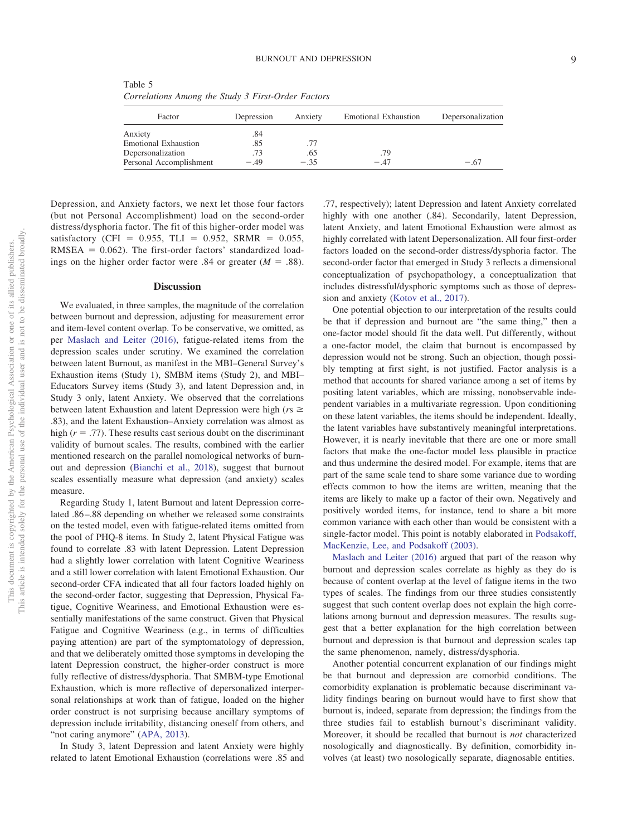<span id="page-8-0"></span>Table 5 *Correlations Among the Study 3 First-Order Factors*

| Factor                      | Depression | Anxiety | <b>Emotional Exhaustion</b> | Depersonalization |
|-----------------------------|------------|---------|-----------------------------|-------------------|
| Anxiety                     | .84        |         |                             |                   |
| <b>Emotional Exhaustion</b> | .85        |         |                             |                   |
| Depersonalization           | .73        | .65     | .79                         |                   |
| Personal Accomplishment     | $-.49$     | $-.35$  | $-47$                       | $-.67$            |

Depression, and Anxiety factors, we next let those four factors (but not Personal Accomplishment) load on the second-order distress/dysphoria factor. The fit of this higher-order model was satisfactory (CFI =  $0.955$ , TLI =  $0.952$ , SRMR =  $0.055$ ,  $RMSEA = 0.062$ ). The first-order factors' standardized loadings on the higher order factor were .84 or greater  $(M = .88)$ .

#### **Discussion**

We evaluated, in three samples, the magnitude of the correlation between burnout and depression, adjusting for measurement error and item-level content overlap. To be conservative, we omitted, as per [Maslach and Leiter \(2016\),](#page-12-6) fatigue-related items from the depression scales under scrutiny. We examined the correlation between latent Burnout, as manifest in the MBI–General Survey's Exhaustion items (Study 1), SMBM items (Study 2), and MBI– Educators Survey items (Study 3), and latent Depression and, in Study 3 only, latent Anxiety. We observed that the correlations between latent Exhaustion and latent Depression were high ( $rs \ge$ .83), and the latent Exhaustion–Anxiety correlation was almost as high  $(r = .77)$ . These results cast serious doubt on the discriminant validity of burnout scales. The results, combined with the earlier mentioned research on the parallel nomological networks of burnout and depression [\(Bianchi et al., 2018\)](#page-11-1), suggest that burnout scales essentially measure what depression (and anxiety) scales measure.

Regarding Study 1, latent Burnout and latent Depression correlated .86 –.88 depending on whether we released some constraints on the tested model, even with fatigue-related items omitted from the pool of PHQ-8 items. In Study 2, latent Physical Fatigue was found to correlate .83 with latent Depression. Latent Depression had a slightly lower correlation with latent Cognitive Weariness and a still lower correlation with latent Emotional Exhaustion. Our second-order CFA indicated that all four factors loaded highly on the second-order factor, suggesting that Depression, Physical Fatigue, Cognitive Weariness, and Emotional Exhaustion were essentially manifestations of the same construct. Given that Physical Fatigue and Cognitive Weariness (e.g., in terms of difficulties paying attention) are part of the symptomatology of depression, and that we deliberately omitted those symptoms in developing the latent Depression construct, the higher-order construct is more fully reflective of distress/dysphoria. That SMBM-type Emotional Exhaustion, which is more reflective of depersonalized interpersonal relationships at work than of fatigue, loaded on the higher order construct is not surprising because ancillary symptoms of depression include irritability, distancing oneself from others, and "not caring anymore" [\(APA, 2013\)](#page-10-0).

In Study 3, latent Depression and latent Anxiety were highly related to latent Emotional Exhaustion (correlations were .85 and

.77, respectively); latent Depression and latent Anxiety correlated highly with one another (.84). Secondarily, latent Depression, latent Anxiety, and latent Emotional Exhaustion were almost as highly correlated with latent Depersonalization. All four first-order factors loaded on the second-order distress/dysphoria factor. The second-order factor that emerged in Study 3 reflects a dimensional conceptualization of psychopathology, a conceptualization that includes distressful/dysphoric symptoms such as those of depression and anxiety [\(Kotov et al., 2017\)](#page-11-22).

One potential objection to our interpretation of the results could be that if depression and burnout are "the same thing," then a one-factor model should fit the data well. Put differently, without a one-factor model, the claim that burnout is encompassed by depression would not be strong. Such an objection, though possibly tempting at first sight, is not justified. Factor analysis is a method that accounts for shared variance among a set of items by positing latent variables, which are missing, nonobservable independent variables in a multivariate regression. Upon conditioning on these latent variables, the items should be independent. Ideally, the latent variables have substantively meaningful interpretations. However, it is nearly inevitable that there are one or more small factors that make the one-factor model less plausible in practice and thus undermine the desired model. For example, items that are part of the same scale tend to share some variance due to wording effects common to how the items are written, meaning that the items are likely to make up a factor of their own. Negatively and positively worded items, for instance, tend to share a bit more common variance with each other than would be consistent with a single-factor model. This point is notably elaborated in [Podsakoff,](#page-12-31) [MacKenzie, Lee, and Podsakoff \(2003\).](#page-12-31)

[Maslach and Leiter \(2016\)](#page-12-6) argued that part of the reason why burnout and depression scales correlate as highly as they do is because of content overlap at the level of fatigue items in the two types of scales. The findings from our three studies consistently suggest that such content overlap does not explain the high correlations among burnout and depression measures. The results suggest that a better explanation for the high correlation between burnout and depression is that burnout and depression scales tap the same phenomenon, namely, distress/dysphoria.

Another potential concurrent explanation of our findings might be that burnout and depression are comorbid conditions. The comorbidity explanation is problematic because discriminant validity findings bearing on burnout would have to first show that burnout is, indeed, separate from depression; the findings from the three studies fail to establish burnout's discriminant validity. Moreover, it should be recalled that burnout is *not* characterized nosologically and diagnostically. By definition, comorbidity involves (at least) two nosologically separate, diagnosable entities.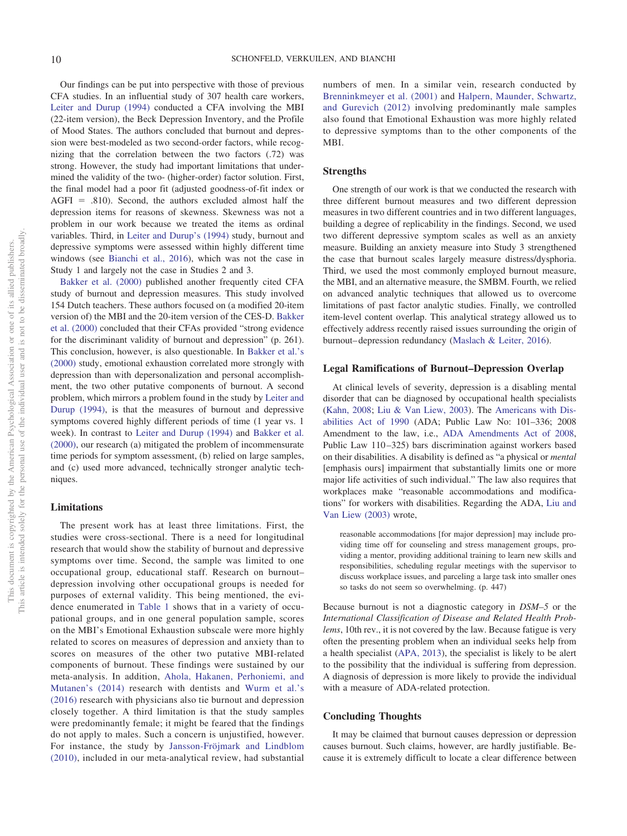Our findings can be put into perspective with those of previous CFA studies. In an influential study of 307 health care workers, [Leiter and Durup \(1994\)](#page-12-23) conducted a CFA involving the MBI (22-item version), the Beck Depression Inventory, and the Profile of Mood States. The authors concluded that burnout and depression were best-modeled as two second-order factors, while recognizing that the correlation between the two factors (.72) was strong. However, the study had important limitations that undermined the validity of the two- (higher-order) factor solution. First, the final model had a poor fit (adjusted goodness-of-fit index or  $AGFI = .810$ ). Second, the authors excluded almost half the depression items for reasons of skewness. Skewness was not a problem in our work because we treated the items as ordinal variables. Third, in [Leiter and Durup's \(1994\)](#page-12-23) study, burnout and depressive symptoms were assessed within highly different time windows (see [Bianchi et al., 2016\)](#page-11-16), which was not the case in Study 1 and largely not the case in Studies 2 and 3.

[Bakker et al. \(2000\)](#page-10-4) published another frequently cited CFA study of burnout and depression measures. This study involved 154 Dutch teachers. These authors focused on (a modified 20-item version of) the MBI and the 20-item version of the CES-D. [Bakker](#page-10-4) [et al. \(2000\)](#page-10-4) concluded that their CFAs provided "strong evidence for the discriminant validity of burnout and depression" (p. 261). This conclusion, however, is also questionable. In [Bakker et al.'s](#page-10-4) [\(2000\)](#page-10-4) study, emotional exhaustion correlated more strongly with depression than with depersonalization and personal accomplishment, the two other putative components of burnout. A second problem, which mirrors a problem found in the study by [Leiter and](#page-12-23) [Durup \(1994\),](#page-12-23) is that the measures of burnout and depressive symptoms covered highly different periods of time (1 year vs. 1 week). In contrast to [Leiter and Durup \(1994\)](#page-12-23) and [Bakker et al.](#page-10-4) [\(2000\),](#page-10-4) our research (a) mitigated the problem of incommensurate time periods for symptom assessment, (b) relied on large samples, and (c) used more advanced, technically stronger analytic techniques.

### **Limitations**

The present work has at least three limitations. First, the studies were cross-sectional. There is a need for longitudinal research that would show the stability of burnout and depressive symptoms over time. Second, the sample was limited to one occupational group, educational staff. Research on burnout– depression involving other occupational groups is needed for purposes of external validity. This being mentioned, the evidence enumerated in [Table 1](#page-2-0) shows that in a variety of occupational groups, and in one general population sample, scores on the MBI's Emotional Exhaustion subscale were more highly related to scores on measures of depression and anxiety than to scores on measures of the other two putative MBI-related components of burnout. These findings were sustained by our meta-analysis. In addition, [Ahola, Hakanen, Perhoniemi, and](#page-10-7) [Mutanen's \(2014\)](#page-10-7) research with dentists and [Wurm et al.'s](#page-13-16) [\(2016\)](#page-13-16) research with physicians also tie burnout and depression closely together. A third limitation is that the study samples were predominantly female; it might be feared that the findings do not apply to males. Such a concern is unjustified, however. For instance, the study by [Jansson-Fröjmark and Lindblom](#page-11-13) [\(2010\),](#page-11-13) included in our meta-analytical review, had substantial

numbers of men. In a similar vein, research conducted by [Brenninkmeyer et al. \(2001\)](#page-11-6) and [Halpern, Maunder, Schwartz,](#page-11-9) [and Gurevich \(2012\)](#page-11-9) involving predominantly male samples also found that Emotional Exhaustion was more highly related to depressive symptoms than to the other components of the MBI.

## **Strengths**

One strength of our work is that we conducted the research with three different burnout measures and two different depression measures in two different countries and in two different languages, building a degree of replicability in the findings. Second, we used two different depressive symptom scales as well as an anxiety measure. Building an anxiety measure into Study 3 strengthened the case that burnout scales largely measure distress/dysphoria. Third, we used the most commonly employed burnout measure, the MBI, and an alternative measure, the SMBM. Fourth, we relied on advanced analytic techniques that allowed us to overcome limitations of past factor analytic studies. Finally, we controlled item-level content overlap. This analytical strategy allowed us to effectively address recently raised issues surrounding the origin of burnout– depression redundancy [\(Maslach & Leiter, 2016\)](#page-12-6).

### **Legal Ramifications of Burnout–Depression Overlap**

At clinical levels of severity, depression is a disabling mental disorder that can be diagnosed by occupational health specialists [\(Kahn, 2008;](#page-11-4) [Liu & Van Liew, 2003\)](#page-12-9). The [Americans with Dis](#page-10-6)[abilities Act of 1990](#page-10-6) (ADA; Public Law No: 101–336; 2008 Amendment to the law, i.e., [ADA Amendments Act of 2008,](#page-10-8) Public Law 110-325) bars discrimination against workers based on their disabilities. A disability is defined as "a physical or *mental* [emphasis ours] impairment that substantially limits one or more major life activities of such individual." The law also requires that workplaces make "reasonable accommodations and modifications" for workers with disabilities. Regarding the ADA, [Liu and](#page-12-9) [Van Liew \(2003\)](#page-12-9) wrote,

reasonable accommodations [for major depression] may include providing time off for counseling and stress management groups, providing a mentor, providing additional training to learn new skills and responsibilities, scheduling regular meetings with the supervisor to discuss workplace issues, and parceling a large task into smaller ones so tasks do not seem so overwhelming. (p. 447)

Because burnout is not a diagnostic category in *DSM–5* or the *International Classification of Disease and Related Health Problems*, 10th rev., it is not covered by the law. Because fatigue is very often the presenting problem when an individual seeks help from a health specialist [\(APA, 2013\)](#page-10-0), the specialist is likely to be alert to the possibility that the individual is suffering from depression. A diagnosis of depression is more likely to provide the individual with a measure of ADA-related protection.

### **Concluding Thoughts**

It may be claimed that burnout causes depression or depression causes burnout. Such claims, however, are hardly justifiable. Because it is extremely difficult to locate a clear difference between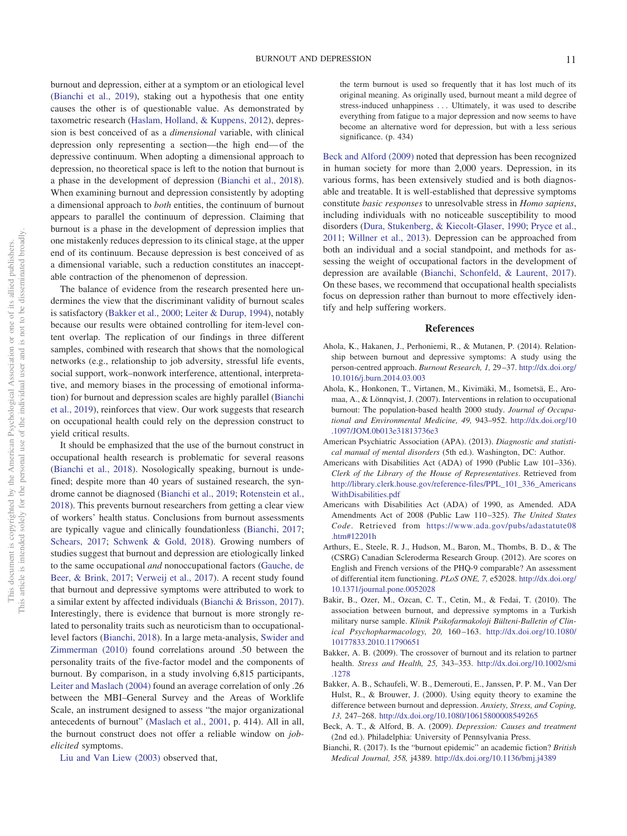burnout and depression, either at a symptom or an etiological level [\(Bianchi et al., 2019\)](#page-11-5), staking out a hypothesis that one entity causes the other is of questionable value. As demonstrated by taxometric research [\(Haslam, Holland, & Kuppens, 2012\)](#page-11-30), depression is best conceived of as a *dimensional* variable, with clinical depression only representing a section—the high end— of the depressive continuum. When adopting a dimensional approach to depression, no theoretical space is left to the notion that burnout is a phase in the development of depression [\(Bianchi et al., 2018\)](#page-11-1). When examining burnout and depression consistently by adopting a dimensional approach to *both* entities, the continuum of burnout appears to parallel the continuum of depression. Claiming that burnout is a phase in the development of depression implies that one mistakenly reduces depression to its clinical stage, at the upper end of its continuum. Because depression is best conceived of as a dimensional variable, such a reduction constitutes an inacceptable contraction of the phenomenon of depression.

The balance of evidence from the research presented here undermines the view that the discriminant validity of burnout scales is satisfactory [\(Bakker et al., 2000;](#page-10-4) [Leiter & Durup, 1994\)](#page-12-23), notably because our results were obtained controlling for item-level content overlap. The replication of our findings in three different samples, combined with research that shows that the nomological networks (e.g., relationship to job adversity, stressful life events, social support, work–nonwork interference, attentional, interpretative, and memory biases in the processing of emotional information) for burnout and depression scales are highly parallel [\(Bianchi](#page-11-5) [et al., 2019\)](#page-11-5), reinforces that view. Our work suggests that research on occupational health could rely on the depression construct to yield critical results.

It should be emphasized that the use of the burnout construct in occupational health research is problematic for several reasons [\(Bianchi et al., 2018\)](#page-11-1). Nosologically speaking, burnout is undefined; despite more than 40 years of sustained research, the syndrome cannot be diagnosed [\(Bianchi et al., 2019;](#page-11-5) [Rotenstein et al.,](#page-12-32) [2018\)](#page-12-32). This prevents burnout researchers from getting a clear view of workers' health status. Conclusions from burnout assessments are typically vague and clinically foundationless [\(Bianchi, 2017;](#page-10-10) [Schears, 2017;](#page-12-34) [Schwenk & Gold, 2018\)](#page-13-17). Growing numbers of studies suggest that burnout and depression are etiologically linked to the same occupational *and* nonoccupational factors [\(Gauche, de](#page-11-32) [Beer, & Brink, 2017;](#page-11-32) [Verweij et al., 2017\)](#page-13-18). A recent study found that burnout and depressive symptoms were attributed to work to a similar extent by affected individuals [\(Bianchi & Brisson, 2017\)](#page-11-31). Interestingly, there is evidence that burnout is more strongly related to personality traits such as neuroticism than to occupationallevel factors [\(Bianchi, 2018\)](#page-11-27). In a large meta-analysis, [Swider and](#page-13-6) [Zimmerman \(2010\)](#page-13-6) found correlations around .50 between the personality traits of the five-factor model and the components of burnout. By comparison, in a study involving 6,815 participants, [Leiter and Maslach \(2004\)](#page-12-33) found an average correlation of only .26 between the MBI–General Survey and the Areas of Worklife Scale, an instrument designed to assess "the major organizational antecedents of burnout" [\(Maslach et al., 2001,](#page-12-3) p. 414). All in all, the burnout construct does not offer a reliable window on *jobelicited* symptoms.

[Liu and Van Liew \(2003\)](#page-12-9) observed that,

the term burnout is used so frequently that it has lost much of its original meaning. As originally used, burnout meant a mild degree of stress-induced unhappiness . . . Ultimately, it was used to describe everything from fatigue to a major depression and now seems to have become an alternative word for depression, but with a less serious significance. (p. 434)

[Beck and Alford \(2009\)](#page-10-9) noted that depression has been recognized in human society for more than 2,000 years. Depression, in its various forms, has been extensively studied and is both diagnosable and treatable. It is well-established that depressive symptoms constitute *basic responses* to unresolvable stress in *Homo sapiens*, including individuals with no noticeable susceptibility to mood disorders [\(Dura, Stukenberg, & Kiecolt-Glaser, 1990;](#page-11-29) [Pryce et al.,](#page-12-14) [2011;](#page-12-14) [Willner et al., 2013\)](#page-13-8). Depression can be approached from both an individual and a social standpoint, and methods for assessing the weight of occupational factors in the development of depression are available [\(Bianchi, Schonfeld, & Laurent, 2017\)](#page-11-28). On these bases, we recommend that occupational health specialists focus on depression rather than burnout to more effectively identify and help suffering workers.

#### **References**

- <span id="page-10-7"></span>Ahola, K., Hakanen, J., Perhoniemi, R., & Mutanen, P. (2014). Relationship between burnout and depressive symptoms: A study using the person-centred approach. *Burnout Research, 1,* 29 –37. [http://dx.doi.org/](http://dx.doi.org/10.1016/j.burn.2014.03.003) [10.1016/j.burn.2014.03.003](http://dx.doi.org/10.1016/j.burn.2014.03.003)
- <span id="page-10-1"></span>Ahola, K., Honkonen, T., Virtanen, M., Kivimäki, M., Isometsä, E., Aromaa, A., & Lönnqvist, J. (2007). Interventions in relation to occupational burnout: The population-based health 2000 study. *Journal of Occupational and Environmental Medicine, 49,* 943–952. [http://dx.doi.org/10](http://dx.doi.org/10.1097/JOM.0b013e31813736e3) [.1097/JOM.0b013e31813736e3](http://dx.doi.org/10.1097/JOM.0b013e31813736e3)
- <span id="page-10-0"></span>American Psychiatric Association (APA). (2013). *Diagnostic and statistical manual of mental disorders* (5th ed.). Washington, DC: Author.
- <span id="page-10-6"></span>Americans with Disabilities Act (ADA) of 1990 (Public Law 101–336). *Clerk of the Library of the House of Representatives*. Retrieved from [http://library.clerk.house.gov/reference-files/PPL\\_101\\_336\\_Americans](http://library.clerk.house.gov/reference-files/PPL_101_336_AmericansWithDisabilities.pdf) [WithDisabilities.pdf](http://library.clerk.house.gov/reference-files/PPL_101_336_AmericansWithDisabilities.pdf)
- <span id="page-10-8"></span>Americans with Disabilities Act (ADA) of 1990, as Amended. ADA Amendments Act of 2008 (Public Law 110 –325). *The United States Code*. Retrieved from [https://www.ada.gov/pubs/adastatute08](https://www.ada.gov/pubs/adastatute08.htm#12201h) [.htm#12201h](https://www.ada.gov/pubs/adastatute08.htm#12201h)
- <span id="page-10-5"></span>Arthurs, E., Steele, R. J., Hudson, M., Baron, M., Thombs, B. D., & The (CSRG) Canadian Scleroderma Research Group. (2012). Are scores on English and French versions of the PHQ-9 comparable? An assessment of differential item functioning. *PLoS ONE, 7,* e52028. [http://dx.doi.org/](http://dx.doi.org/10.1371/journal.pone.0052028) [10.1371/journal.pone.0052028](http://dx.doi.org/10.1371/journal.pone.0052028)
- <span id="page-10-3"></span>Bakir, B., Ozer, M., Ozcan, C. T., Cetin, M., & Fedai, T. (2010). The association between burnout, and depressive symptoms in a Turkish military nurse sample. *Klinik Psikofarmakoloji Bülteni-Bulletin of Clinical Psychopharmacology, 20,* 160 –163. [http://dx.doi.org/10.1080/](http://dx.doi.org/10.1080/10177833.2010.11790651) [10177833.2010.11790651](http://dx.doi.org/10.1080/10177833.2010.11790651)
- <span id="page-10-2"></span>Bakker, A. B. (2009). The crossover of burnout and its relation to partner health. *Stress and Health, 25,* 343–353. [http://dx.doi.org/10.1002/smi](http://dx.doi.org/10.1002/smi.1278) [.1278](http://dx.doi.org/10.1002/smi.1278)
- <span id="page-10-4"></span>Bakker, A. B., Schaufeli, W. B., Demerouti, E., Janssen, P. P. M., Van Der Hulst, R., & Brouwer, J. (2000). Using equity theory to examine the difference between burnout and depression. *Anxiety, Stress, and Coping, 13,* 247–268. <http://dx.doi.org/10.1080/10615800008549265>
- <span id="page-10-9"></span>Beck, A. T., & Alford, B. A. (2009). *Depression: Causes and treatment* (2nd ed.). Philadelphia: University of Pennsylvania Press.
- <span id="page-10-10"></span>Bianchi, R. (2017). Is the "burnout epidemic" an academic fiction? *British Medical Journal, 358,* j4389. <http://dx.doi.org/10.1136/bmj.j4389>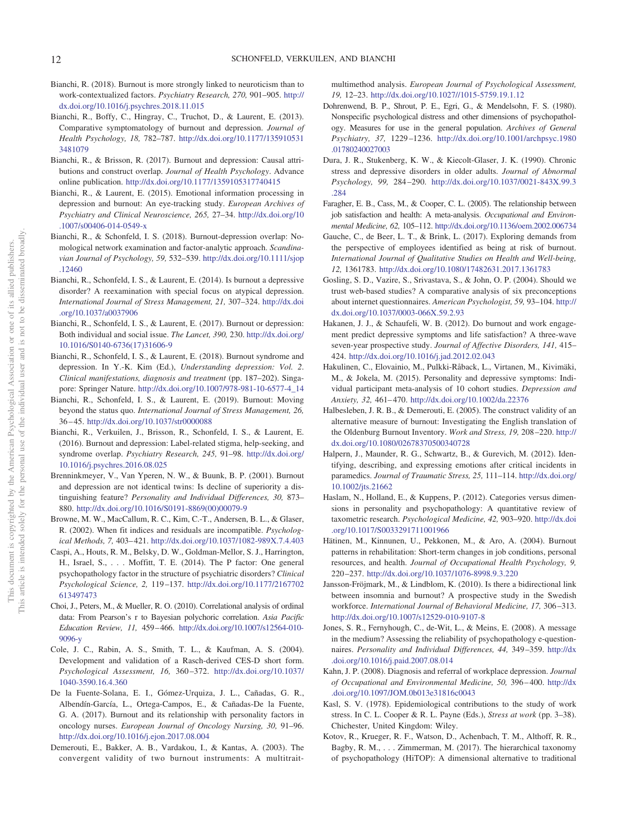- <span id="page-11-27"></span>Bianchi, R. (2018). Burnout is more strongly linked to neuroticism than to work-contextualized factors. *Psychiatry Research, 270,* 901–905. [http://](http://dx.doi.org/10.1016/j.psychres.2018.11.015) [dx.doi.org/10.1016/j.psychres.2018.11.015](http://dx.doi.org/10.1016/j.psychres.2018.11.015)
- <span id="page-11-10"></span>Bianchi, R., Boffy, C., Hingray, C., Truchot, D., & Laurent, E. (2013). Comparative symptomatology of burnout and depression. *Journal of Health Psychology, 18,* 782–787. [http://dx.doi.org/10.1177/135910531](http://dx.doi.org/10.1177/1359105313481079) [3481079](http://dx.doi.org/10.1177/1359105313481079)
- <span id="page-11-31"></span>Bianchi, R., & Brisson, R. (2017). Burnout and depression: Causal attributions and construct overlap. *Journal of Health Psychology*. Advance online publication. <http://dx.doi.org/10.1177/1359105317740415>
- <span id="page-11-12"></span>Bianchi, R., & Laurent, E. (2015). Emotional information processing in depression and burnout: An eye-tracking study. *European Archives of Psychiatry and Clinical Neuroscience, 265,* 27–34. [http://dx.doi.org/10](http://dx.doi.org/10.1007/s00406-014-0549-x) [.1007/s00406-014-0549-x](http://dx.doi.org/10.1007/s00406-014-0549-x)
- <span id="page-11-0"></span>Bianchi, R., & Schonfeld, I. S. (2018). Burnout-depression overlap: Nomological network examination and factor-analytic approach. *Scandinavian Journal of Psychology, 59,* 532–539. [http://dx.doi.org/10.1111/sjop](http://dx.doi.org/10.1111/sjop.12460) [.12460](http://dx.doi.org/10.1111/sjop.12460)
- <span id="page-11-7"></span>Bianchi, R., Schonfeld, I. S., & Laurent, E. (2014). Is burnout a depressive disorder? A reexamination with special focus on atypical depression. *International Journal of Stress Management, 21,* 307–324. [http://dx.doi](http://dx.doi.org/10.1037/a0037906) [.org/10.1037/a0037906](http://dx.doi.org/10.1037/a0037906)
- <span id="page-11-28"></span>Bianchi, R., Schonfeld, I. S., & Laurent, E. (2017). Burnout or depression: Both individual and social issue. *The Lancet, 390,* 230. [http://dx.doi.org/](http://dx.doi.org/10.1016/S0140-6736%2817%2931606-9) [10.1016/S0140-6736\(17\)31606-9](http://dx.doi.org/10.1016/S0140-6736%2817%2931606-9)
- <span id="page-11-1"></span>Bianchi, R., Schonfeld, I. S., & Laurent, E. (2018). Burnout syndrome and depression. In Y.-K. Kim (Ed.), *Understanding depression: Vol. 2*. *Clinical manifestations, diagnosis and treatment* (pp. 187–202). Singapore: Springer Nature. [http://dx.doi.org/10.1007/978-981-10-6577-4\\_14](http://dx.doi.org/10.1007/978-981-10-6577-4_14)
- <span id="page-11-5"></span>Bianchi, R., Schonfeld, I. S., & Laurent, E. (2019). Burnout: Moving beyond the status quo. *International Journal of Stress Management, 26,* 36 – 45. <http://dx.doi.org/10.1037/str0000088>
- <span id="page-11-16"></span>Bianchi, R., Verkuilen, J., Brisson, R., Schonfeld, I. S., & Laurent, E. (2016). Burnout and depression: Label-related stigma, help-seeking, and syndrome overlap. *Psychiatry Research, 245,* 91–98. [http://dx.doi.org/](http://dx.doi.org/10.1016/j.psychres.2016.08.025) [10.1016/j.psychres.2016.08.025](http://dx.doi.org/10.1016/j.psychres.2016.08.025)
- <span id="page-11-6"></span>Brenninkmeyer, V., Van Yperen, N. W., & Buunk, B. P. (2001). Burnout and depression are not identical twins: Is decline of superiority a distinguishing feature? *Personality and Individual Differences, 30,* 873– 880. [http://dx.doi.org/10.1016/S0191-8869\(00\)00079-9](http://dx.doi.org/10.1016/S0191-8869%2800%2900079-9)
- <span id="page-11-26"></span>Browne, M. W., MacCallum, R. C., Kim, C.-T., Andersen, B. L., & Glaser, R. (2002). When fit indices and residuals are incompatible. *Psychological Methods, 7,* 403– 421. <http://dx.doi.org/10.1037/1082-989X.7.4.403>
- <span id="page-11-23"></span>Caspi, A., Houts, R. M., Belsky, D. W., Goldman-Mellor, S. J., Harrington, H., Israel, S.,... Moffitt, T. E. (2014). The P factor: One general psychopathology factor in the structure of psychiatric disorders? *Clinical Psychological Science, 2,* 119 –137. [http://dx.doi.org/10.1177/2167702](http://dx.doi.org/10.1177/2167702613497473) [613497473](http://dx.doi.org/10.1177/2167702613497473)
- <span id="page-11-19"></span>Choi, J., Peters, M., & Mueller, R. O. (2010). Correlational analysis of ordinal data: From Pearson's r to Bayesian polychoric correlation. *Asia Pacific Education Review, 11,* 459 – 466. [http://dx.doi.org/10.1007/s12564-010-](http://dx.doi.org/10.1007/s12564-010-9096-y) [9096-y](http://dx.doi.org/10.1007/s12564-010-9096-y)
- <span id="page-11-20"></span>Cole, J. C., Rabin, A. S., Smith, T. L., & Kaufman, A. S. (2004). Development and validation of a Rasch-derived CES-D short form. *Psychological Assessment, 16,* 360 –372. [http://dx.doi.org/10.1037/](http://dx.doi.org/10.1037/1040-3590.16.4.360) [1040-3590.16.4.360](http://dx.doi.org/10.1037/1040-3590.16.4.360)
- <span id="page-11-11"></span>De la Fuente-Solana, E. I., Gómez-Urquiza, J. L., Cañadas, G. R., Albendín-García, L., Ortega-Campos, E., & Cañadas-De la Fuente, G. A. (2017). Burnout and its relationship with personality factors in oncology nurses. *European Journal of Oncology Nursing, 30,* 91–96. <http://dx.doi.org/10.1016/j.ejon.2017.08.004>
- <span id="page-11-15"></span>Demerouti, E., Bakker, A. B., Vardakou, I., & Kantas, A. (2003). The convergent validity of two burnout instruments: A multitrait-

multimethod analysis. *European Journal of Psychological Assessment, 19,* 12–23. <http://dx.doi.org/10.1027//1015-5759.19.1.12>

- <span id="page-11-21"></span>Dohrenwend, B. P., Shrout, P. E., Egri, G., & Mendelsohn, F. S. (1980). Nonspecific psychological distress and other dimensions of psychopathology. Measures for use in the general population. *Archives of General Psychiatry, 37,* 1229 –1236. [http://dx.doi.org/10.1001/archpsyc.1980](http://dx.doi.org/10.1001/archpsyc.1980.01780240027003) [.01780240027003](http://dx.doi.org/10.1001/archpsyc.1980.01780240027003)
- <span id="page-11-29"></span>Dura, J. R., Stukenberg, K. W., & Kiecolt-Glaser, J. K. (1990). Chronic stress and depressive disorders in older adults. *Journal of Abnormal Psychology, 99,* 284 –290. [http://dx.doi.org/10.1037/0021-843X.99.3](http://dx.doi.org/10.1037/0021-843X.99.3.284) [.284](http://dx.doi.org/10.1037/0021-843X.99.3.284)
- <span id="page-11-3"></span>Faragher, E. B., Cass, M., & Cooper, C. L. (2005). The relationship between job satisfaction and health: A meta-analysis. *Occupational and Environmental Medicine, 62,* 105–112. <http://dx.doi.org/10.1136/oem.2002.006734>
- <span id="page-11-32"></span>Gauche, C., de Beer, L. T., & Brink, L. (2017). Exploring demands from the perspective of employees identified as being at risk of burnout. *International Journal of Qualitative Studies on Health and Well-being, 12,* 1361783. <http://dx.doi.org/10.1080/17482631.2017.1361783>
- <span id="page-11-25"></span>Gosling, S. D., Vazire, S., Srivastava, S., & John, O. P. (2004). Should we trust web-based studies? A comparative analysis of six preconceptions about internet questionnaires. *American Psychologist, 59,* 93–104. [http://](http://dx.doi.org/10.1037/0003-066X.59.2.93) [dx.doi.org/10.1037/0003-066X.59.2.93](http://dx.doi.org/10.1037/0003-066X.59.2.93)
- <span id="page-11-14"></span>Hakanen, J. J., & Schaufeli, W. B. (2012). Do burnout and work engagement predict depressive symptoms and life satisfaction? A three-wave seven-year prospective study. *Journal of Affective Disorders, 141,* 415– 424. <http://dx.doi.org/10.1016/j.jad.2012.02.043>
- <span id="page-11-2"></span>Hakulinen, C., Elovainio, M., Pulkki-Råback, L., Virtanen, M., Kivimäki, M., & Jokela, M. (2015). Personality and depressive symptoms: Individual participant meta-analysis of 10 cohort studies. *Depression and Anxiety, 32,* 461– 470. <http://dx.doi.org/10.1002/da.22376>
- <span id="page-11-18"></span>Halbesleben, J. R. B., & Demerouti, E. (2005). The construct validity of an alternative measure of burnout: Investigating the English translation of the Oldenburg Burnout Inventory. *Work and Stress, 19,* 208 –220. [http://](http://dx.doi.org/10.1080/02678370500340728) [dx.doi.org/10.1080/02678370500340728](http://dx.doi.org/10.1080/02678370500340728)
- <span id="page-11-9"></span>Halpern, J., Maunder, R. G., Schwartz, B., & Gurevich, M. (2012). Identifying, describing, and expressing emotions after critical incidents in paramedics. *Journal of Traumatic Stress, 25,* 111–114. [http://dx.doi.org/](http://dx.doi.org/10.1002/jts.21662) [10.1002/jts.21662](http://dx.doi.org/10.1002/jts.21662)
- <span id="page-11-30"></span>Haslam, N., Holland, E., & Kuppens, P. (2012). Categories versus dimensions in personality and psychopathology: A quantitative review of taxometric research. *Psychological Medicine, 42,* 903–920. [http://dx.doi](http://dx.doi.org/10.1017/S0033291711001966) [.org/10.1017/S0033291711001966](http://dx.doi.org/10.1017/S0033291711001966)
- <span id="page-11-17"></span>Hätinen, M., Kinnunen, U., Pekkonen, M., & Aro, A. (2004). Burnout patterns in rehabilitation: Short-term changes in job conditions, personal resources, and health. *Journal of Occupational Health Psychology, 9,* 220 –237. <http://dx.doi.org/10.1037/1076-8998.9.3.220>
- <span id="page-11-13"></span>Jansson-Fröjmark, M., & Lindblom, K. (2010). Is there a bidirectional link between insomnia and burnout? A prospective study in the Swedish workforce. *International Journal of Behavioral Medicine, 17,* 306 –313. <http://dx.doi.org/10.1007/s12529-010-9107-8>
- <span id="page-11-24"></span>Jones, S. R., Fernyhough, C., de-Wit, L., & Meins, E. (2008). A message in the medium? Assessing the reliability of psychopathology e-questionnaires. *Personality and Individual Differences, 44,* 349 –359. [http://dx](http://dx.doi.org/10.1016/j.paid.2007.08.014) [.doi.org/10.1016/j.paid.2007.08.014](http://dx.doi.org/10.1016/j.paid.2007.08.014)
- <span id="page-11-4"></span>Kahn, J. P. (2008). Diagnosis and referral of workplace depression. *Journal of Occupational and Environmental Medicine, 50,* 396 – 400. [http://dx](http://dx.doi.org/10.1097/JOM.0b013e31816c0043) [.doi.org/10.1097/JOM.0b013e31816c0043](http://dx.doi.org/10.1097/JOM.0b013e31816c0043)
- <span id="page-11-8"></span>Kasl, S. V. (1978). Epidemiological contributions to the study of work stress. In C. L. Cooper & R. L. Payne (Eds.), *Stress at work* (pp. 3–38). Chichester, United Kingdom: Wiley.
- <span id="page-11-22"></span>Kotov, R., Krueger, R. F., Watson, D., Achenbach, T. M., Althoff, R. R., Bagby, R. M.,... Zimmerman, M. (2017). The hierarchical taxonomy of psychopathology (HiTOP): A dimensional alternative to traditional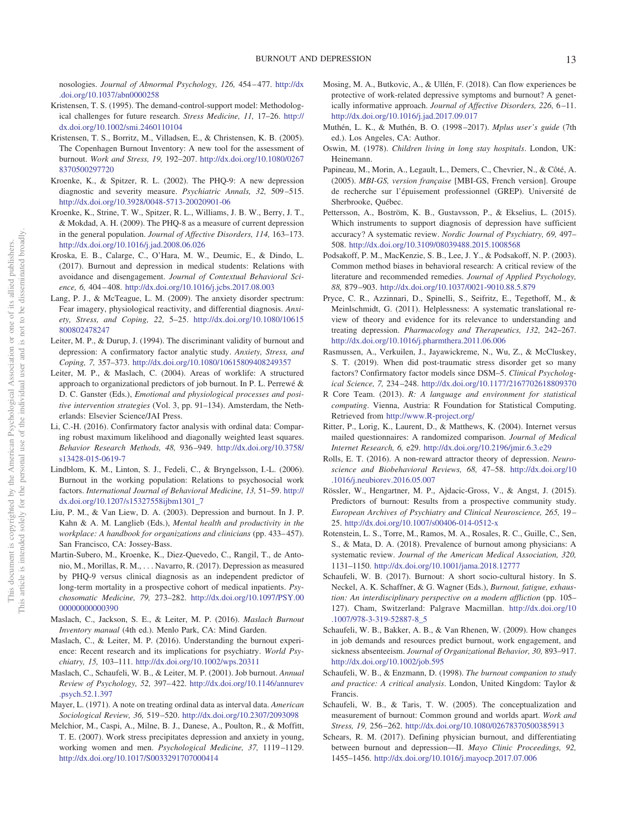nosologies. *Journal of Abnormal Psychology, 126,* 454 – 477. [http://dx](http://dx.doi.org/10.1037/abn0000258) [.doi.org/10.1037/abn0000258](http://dx.doi.org/10.1037/abn0000258)

- <span id="page-12-30"></span>Kristensen, T. S. (1995). The demand-control-support model: Methodological challenges for future research. *Stress Medicine, 11,* 17–26. [http://](http://dx.doi.org/10.1002/smi.2460110104) [dx.doi.org/10.1002/smi.2460110104](http://dx.doi.org/10.1002/smi.2460110104)
- <span id="page-12-0"></span>Kristensen, T. S., Borritz, M., Villadsen, E., & Christensen, K. B. (2005). The Copenhagen Burnout Inventory: A new tool for the assessment of burnout. *Work and Stress, 19,* 192–207. [http://dx.doi.org/10.1080/0267](http://dx.doi.org/10.1080/02678370500297720) [8370500297720](http://dx.doi.org/10.1080/02678370500297720)
- <span id="page-12-11"></span>Kroenke, K., & Spitzer, R. L. (2002). The PHQ-9: A new depression diagnostic and severity measure. *Psychiatric Annals, 32,* 509 –515. <http://dx.doi.org/10.3928/0048-5713-20020901-06>
- <span id="page-12-20"></span>Kroenke, K., Strine, T. W., Spitzer, R. L., Williams, J. B. W., Berry, J. T., & Mokdad, A. H. (2009). The PHQ-8 as a measure of current depression in the general population. *Journal of Affective Disorders, 114,* 163–173. <http://dx.doi.org/10.1016/j.jad.2008.06.026>
- <span id="page-12-18"></span>Kroska, E. B., Calarge, C., O'Hara, M. W., Deumic, E., & Dindo, L. (2017). Burnout and depression in medical students: Relations with avoidance and disengagement. *Journal of Contextual Behavioral Science, 6,* 404 – 408. <http://dx.doi.org/10.1016/j.jcbs.2017.08.003>
- <span id="page-12-15"></span>Lang, P. J., & McTeague, L. M. (2009). The anxiety disorder spectrum: Fear imagery, physiological reactivity, and differential diagnosis. *Anxiety, Stress, and Coping, 22,* 5–25. [http://dx.doi.org/10.1080/10615](http://dx.doi.org/10.1080/10615800802478247) [800802478247](http://dx.doi.org/10.1080/10615800802478247)
- <span id="page-12-23"></span>Leiter, M. P., & Durup, J. (1994). The discriminant validity of burnout and depression: A confirmatory factor analytic study. *Anxiety, Stress, and Coping, 7,* 357–373. <http://dx.doi.org/10.1080/10615809408249357>
- <span id="page-12-33"></span>Leiter, M. P., & Maslach, C. (2004). Areas of worklife: A structured approach to organizational predictors of job burnout. In P. L. Perrewé & D. C. Ganster (Eds.), *Emotional and physiological processes and positive intervention strategies* (Vol. 3, pp. 91–134). Amsterdam, the Netherlands: Elsevier Science/JAI Press.
- <span id="page-12-29"></span>Li, C.-H. (2016). Confirmatory factor analysis with ordinal data: Comparing robust maximum likelihood and diagonally weighted least squares. *Behavior Research Methods, 48,* 936 –949. [http://dx.doi.org/10.3758/](http://dx.doi.org/10.3758/s13428-015-0619-7) [s13428-015-0619-7](http://dx.doi.org/10.3758/s13428-015-0619-7)
- <span id="page-12-22"></span>Lindblom, K. M., Linton, S. J., Fedeli, C., & Bryngelsson, I.-L. (2006). Burnout in the working population: Relations to psychosocial work factors. *International Journal of Behavioral Medicine, 13,* 51–59. [http://](http://dx.doi.org/10.1207/s15327558ijbm1301_7) [dx.doi.org/10.1207/s15327558ijbm1301\\_7](http://dx.doi.org/10.1207/s15327558ijbm1301_7)
- <span id="page-12-9"></span>Liu, P. M., & Van Liew, D. A. (2003). Depression and burnout. In J. P. Kahn & A. M. Langlieb (Eds.), *Mental health and productivity in the workplace: A handbook for organizations and clinicians* (pp. 433– 457). San Francisco, CA: Jossey-Bass.
- <span id="page-12-26"></span>Martin-Subero, M., Kroenke, K., Diez-Quevedo, C., Rangil, T., de Antonio, M., Morillas, R. M.,... Navarro, R. (2017). Depression as measured by PHQ-9 versus clinical diagnosis as an independent predictor of long-term mortality in a prospective cohort of medical inpatients. *Psychosomatic Medicine, 79,* 273–282. [http://dx.doi.org/10.1097/PSY.00](http://dx.doi.org/10.1097/PSY.0000000000000390) [00000000000390](http://dx.doi.org/10.1097/PSY.0000000000000390)
- <span id="page-12-7"></span>Maslach, C., Jackson, S. E., & Leiter, M. P. (2016). *Maslach Burnout Inventory manual* (4th ed.). Menlo Park, CA: Mind Garden.
- <span id="page-12-6"></span>Maslach, C., & Leiter, M. P. (2016). Understanding the burnout experience: Recent research and its implications for psychiatry. *World Psychiatry, 15,* 103–111. <http://dx.doi.org/10.1002/wps.20311>
- <span id="page-12-3"></span>Maslach, C., Schaufeli, W. B., & Leiter, M. P. (2001). Job burnout. *Annual Review of Psychology, 52,* 397– 422. [http://dx.doi.org/10.1146/annurev](http://dx.doi.org/10.1146/annurev.psych.52.1.397) [.psych.52.1.397](http://dx.doi.org/10.1146/annurev.psych.52.1.397)
- <span id="page-12-19"></span>Mayer, L. (1971). A note on treating ordinal data as interval data. *American Sociological Review, 36,* 519 –520. <http://dx.doi.org/10.2307/2093098>
- <span id="page-12-12"></span>Melchior, M., Caspi, A., Milne, B. J., Danese, A., Poulton, R., & Moffitt, T. E. (2007). Work stress precipitates depression and anxiety in young, working women and men. *Psychological Medicine, 37,* 1119 –1129. <http://dx.doi.org/10.1017/S0033291707000414>
- <span id="page-12-17"></span>Mosing, M. A., Butkovic, A., & Ullén, F. (2018). Can flow experiences be protective of work-related depressive symptoms and burnout? A genetically informative approach. *Journal of Affective Disorders*, 226, 6-11. <http://dx.doi.org/10.1016/j.jad.2017.09.017>
- <span id="page-12-27"></span>Muthén, L. K., & Muthén, B. O. (1998 –2017). *Mplus user's guide* (7th ed.). Los Angeles, CA: Author.
- <span id="page-12-5"></span>Oswin, M. (1978). *Children living in long stay hospitals*. London, UK: Heinemann.
- <span id="page-12-25"></span>Papineau, M., Morin, A., Legault, L., Demers, C., Chevrier, N., & Côté, A. (2005). *MBI-GS, version française* [MBI-GS, French version]. Groupe de recherche sur l'épuisement professionnel (GREP). Université de Sherbrooke, Québec.
- <span id="page-12-24"></span>Pettersson, A., Boström, K. B., Gustavsson, P., & Ekselius, L. (2015). Which instruments to support diagnosis of depression have sufficient accuracy? A systematic review. *Nordic Journal of Psychiatry, 69,* 497– 508. <http://dx.doi.org/10.3109/08039488.2015.1008568>
- <span id="page-12-31"></span>Podsakoff, P. M., MacKenzie, S. B., Lee, J. Y., & Podsakoff, N. P. (2003). Common method biases in behavioral research: A critical review of the literature and recommended remedies. *Journal of Applied Psychology, 88,* 879 –903. <http://dx.doi.org/10.1037/0021-9010.88.5.879>
- <span id="page-12-14"></span>Pryce, C. R., Azzinnari, D., Spinelli, S., Seifritz, E., Tegethoff, M., & Meinlschmidt, G. (2011). Helplessness: A systematic translational review of theory and evidence for its relevance to understanding and treating depression. *Pharmacology and Therapeutics, 132,* 242–267. <http://dx.doi.org/10.1016/j.pharmthera.2011.06.006>
- <span id="page-12-8"></span>Rasmussen, A., Verkuilen, J., Jayawickreme, N., Wu, Z., & McCluskey, S. T. (2019). When did post-traumatic stress disorder get so many factors? Confirmatory factor models since DSM–5. *Clinical Psychological Science, 7,* 234 –248. <http://dx.doi.org/10.1177/2167702618809370>
- <span id="page-12-10"></span>R Core Team. (2013). *R: A language and environment for statistical computing*. Vienna, Austria: R Foundation for Statistical Computing. Retrieved from <http://www.R-project.org/>
- <span id="page-12-28"></span>Ritter, P., Lorig, K., Laurent, D., & Matthews, K. (2004). Internet versus mailed questionnaires: A randomized comparison. *Journal of Medical Internet Research, 6,* e29. <http://dx.doi.org/10.2196/jmir.6.3.e29>
- <span id="page-12-1"></span>Rolls, E. T. (2016). A non-reward attractor theory of depression. *Neuroscience and Biobehavioral Reviews, 68,* 47–58. [http://dx.doi.org/10](http://dx.doi.org/10.1016/j.neubiorev.2016.05.007) [.1016/j.neubiorev.2016.05.007](http://dx.doi.org/10.1016/j.neubiorev.2016.05.007)
- <span id="page-12-13"></span>Rössler, W., Hengartner, M. P., Ajdacic-Gross, V., & Angst, J. (2015). Predictors of burnout: Results from a prospective community study. *European Archives of Psychiatry and Clinical Neuroscience, 265,* 19 – 25. <http://dx.doi.org/10.1007/s00406-014-0512-x>
- <span id="page-12-32"></span>Rotenstein, L. S., Torre, M., Ramos, M. A., Rosales, R. C., Guille, C., Sen, S., & Mata, D. A. (2018). Prevalence of burnout among physicians: A systematic review. *Journal of the American Medical Association, 320,* 1131–1150. <http://dx.doi.org/10.1001/jama.2018.12777>
- <span id="page-12-21"></span>Schaufeli, W. B. (2017). Burnout: A short socio-cultural history. In S. Neckel, A. K. Schaffner, & G. Wagner (Eds.), *Burnout, fatigue, exhaustion: An interdisciplinary perspective on a modern affliction* (pp. 105– 127). Cham, Switzerland: Palgrave Macmillan. [http://dx.doi.org/10](http://dx.doi.org/10.1007/978-3-319-52887-8_5) [.1007/978-3-319-52887-8\\_5](http://dx.doi.org/10.1007/978-3-319-52887-8_5)
- <span id="page-12-16"></span>Schaufeli, W. B., Bakker, A. B., & Van Rhenen, W. (2009). How changes in job demands and resources predict burnout, work engagement, and sickness absenteeism. *Journal of Organizational Behavior, 30,* 893–917. <http://dx.doi.org/10.1002/job.595>
- <span id="page-12-4"></span>Schaufeli, W. B., & Enzmann, D. (1998). *The burnout companion to study and practice: A critical analysis*. London, United Kingdom: Taylor & Francis.
- <span id="page-12-2"></span>Schaufeli, W. B., & Taris, T. W. (2005). The conceptualization and measurement of burnout: Common ground and worlds apart. *Work and Stress, 19,* 256 –262. <http://dx.doi.org/10.1080/02678370500385913>
- <span id="page-12-34"></span>Schears, R. M. (2017). Defining physician burnout, and differentiating between burnout and depression—II. *Mayo Clinic Proceedings, 92,* 1455–1456. <http://dx.doi.org/10.1016/j.mayocp.2017.07.006>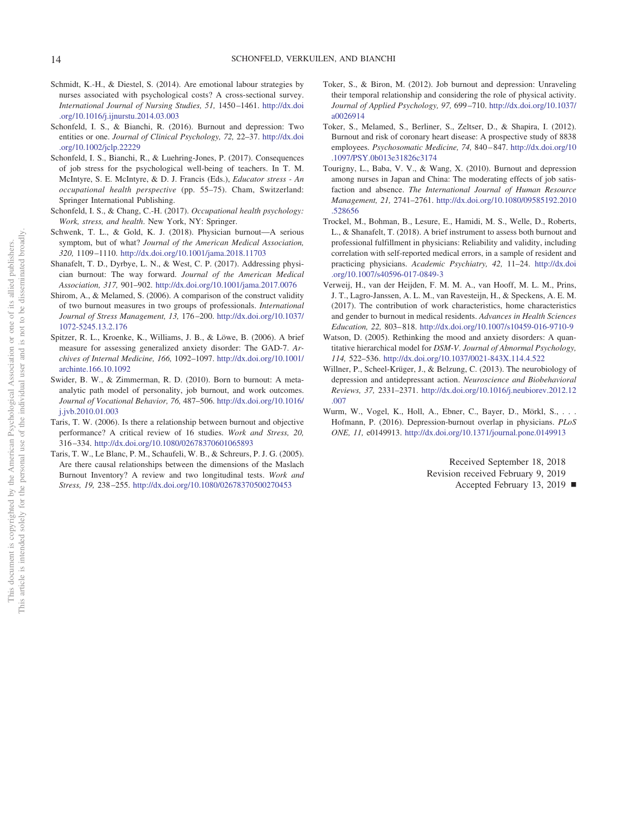- <span id="page-13-10"></span>Schmidt, K.-H., & Diestel, S. (2014). Are emotional labour strategies by nurses associated with psychological costs? A cross-sectional survey. *International Journal of Nursing Studies, 51,* 1450 –1461. [http://dx.doi](http://dx.doi.org/10.1016/j.ijnurstu.2014.03.003) [.org/10.1016/j.ijnurstu.2014.03.003](http://dx.doi.org/10.1016/j.ijnurstu.2014.03.003)
- <span id="page-13-0"></span>Schonfeld, I. S., & Bianchi, R. (2016). Burnout and depression: Two entities or one. *Journal of Clinical Psychology, 72,* 22–37. [http://dx.doi](http://dx.doi.org/10.1002/jclp.22229) [.org/10.1002/jclp.22229](http://dx.doi.org/10.1002/jclp.22229)
- <span id="page-13-7"></span>Schonfeld, I. S., Bianchi, R., & Luehring-Jones, P. (2017). Consequences of job stress for the psychological well-being of teachers. In T. M. McIntyre, S. E. McIntyre, & D. J. Francis (Eds.), *Educator stress - An occupational health perspective* (pp. 55–75). Cham, Switzerland: Springer International Publishing.
- <span id="page-13-4"></span>Schonfeld, I. S., & Chang, C.-H. (2017). *Occupational health psychology: Work, stress, and health*. New York, NY: Springer.
- <span id="page-13-17"></span>Schwenk, T. L., & Gold, K. J. (2018). Physician burnout—A serious symptom, but of what? *Journal of the American Medical Association, 320,* 1109 –1110. <http://dx.doi.org/10.1001/jama.2018.11703>
- <span id="page-13-3"></span>Shanafelt, T. D., Dyrbye, L. N., & West, C. P. (2017). Addressing physician burnout: The way forward. *Journal of the American Medical Association, 317,* 901–902. <http://dx.doi.org/10.1001/jama.2017.0076>
- <span id="page-13-2"></span>Shirom, A., & Melamed, S. (2006). A comparison of the construct validity of two burnout measures in two groups of professionals. *International Journal of Stress Management, 13,* 176 –200. [http://dx.doi.org/10.1037/](http://dx.doi.org/10.1037/1072-5245.13.2.176) [1072-5245.13.2.176](http://dx.doi.org/10.1037/1072-5245.13.2.176)
- <span id="page-13-13"></span>Spitzer, R. L., Kroenke, K., Williams, J. B., & Löwe, B. (2006). A brief measure for assessing generalized anxiety disorder: The GAD-7. *Archives of Internal Medicine, 166,* 1092–1097. [http://dx.doi.org/10.1001/](http://dx.doi.org/10.1001/archinte.166.10.1092) [archinte.166.10.1092](http://dx.doi.org/10.1001/archinte.166.10.1092)
- <span id="page-13-6"></span>Swider, B. W., & Zimmerman, R. D. (2010). Born to burnout: A metaanalytic path model of personality, job burnout, and work outcomes. *Journal of Vocational Behavior, 76,* 487–506. [http://dx.doi.org/10.1016/](http://dx.doi.org/10.1016/j.jvb.2010.01.003) [j.jvb.2010.01.003](http://dx.doi.org/10.1016/j.jvb.2010.01.003)
- <span id="page-13-12"></span>Taris, T. W. (2006). Is there a relationship between burnout and objective performance? A critical review of 16 studies. *Work and Stress, 20,* 316 –334. <http://dx.doi.org/10.1080/02678370601065893>
- <span id="page-13-1"></span>Taris, T. W., Le Blanc, P. M., Schaufeli, W. B., & Schreurs, P. J. G. (2005). Are there causal relationships between the dimensions of the Maslach Burnout Inventory? A review and two longitudinal tests. *Work and Stress, 19,* 238 –255. <http://dx.doi.org/10.1080/02678370500270453>
- <span id="page-13-5"></span>Toker, S., & Biron, M. (2012). Job burnout and depression: Unraveling their temporal relationship and considering the role of physical activity. *Journal of Applied Psychology, 97,* 699 –710. [http://dx.doi.org/10.1037/](http://dx.doi.org/10.1037/a0026914) [a0026914](http://dx.doi.org/10.1037/a0026914)
- <span id="page-13-14"></span>Toker, S., Melamed, S., Berliner, S., Zeltser, D., & Shapira, I. (2012). Burnout and risk of coronary heart disease: A prospective study of 8838 employees. *Psychosomatic Medicine, 74,* 840 – 847. [http://dx.doi.org/10](http://dx.doi.org/10.1097/PSY.0b013e31826c3174) [.1097/PSY.0b013e31826c3174](http://dx.doi.org/10.1097/PSY.0b013e31826c3174)
- <span id="page-13-9"></span>Tourigny, L., Baba, V. V., & Wang, X. (2010). Burnout and depression among nurses in Japan and China: The moderating effects of job satisfaction and absence. *The International Journal of Human Resource Management, 21,* 2741–2761. [http://dx.doi.org/10.1080/09585192.2010](http://dx.doi.org/10.1080/09585192.2010.528656) [.528656](http://dx.doi.org/10.1080/09585192.2010.528656)
- <span id="page-13-11"></span>Trockel, M., Bohman, B., Lesure, E., Hamidi, M. S., Welle, D., Roberts, L., & Shanafelt, T. (2018). A brief instrument to assess both burnout and professional fulfillment in physicians: Reliability and validity, including correlation with self-reported medical errors, in a sample of resident and practicing physicians. *Academic Psychiatry, 42,* 11–24. [http://dx.doi](http://dx.doi.org/10.1007/s40596-017-0849-3) [.org/10.1007/s40596-017-0849-3](http://dx.doi.org/10.1007/s40596-017-0849-3)
- <span id="page-13-18"></span>Verweij, H., van der Heijden, F. M. M. A., van Hooff, M. L. M., Prins, J. T., Lagro-Janssen, A. L. M., van Ravesteijn, H., & Speckens, A. E. M. (2017). The contribution of work characteristics, home characteristics and gender to burnout in medical residents. *Advances in Health Sciences Education, 22,* 803– 818. <http://dx.doi.org/10.1007/s10459-016-9710-9>
- <span id="page-13-15"></span>Watson, D. (2005). Rethinking the mood and anxiety disorders: A quantitative hierarchical model for *DSM-V*. *Journal of Abnormal Psychology, 114,* 522–536. <http://dx.doi.org/10.1037/0021-843X.114.4.522>
- <span id="page-13-8"></span>Willner, P., Scheel-Krüger, J., & Belzung, C. (2013). The neurobiology of depression and antidepressant action. *Neuroscience and Biobehavioral Reviews, 37,* 2331–2371. [http://dx.doi.org/10.1016/j.neubiorev.2012.12](http://dx.doi.org/10.1016/j.neubiorev.2012.12.007) [.007](http://dx.doi.org/10.1016/j.neubiorev.2012.12.007)
- <span id="page-13-16"></span>Wurm, W., Vogel, K., Holl, A., Ebner, C., Bayer, D., Mörkl, S., . . . Hofmann, P. (2016). Depression-burnout overlap in physicians. *PLoS ONE, 11,* e0149913. <http://dx.doi.org/10.1371/journal.pone.0149913>

Received September 18, 2018 Revision received February 9, 2019

Accepted February 13, 2019 **■**